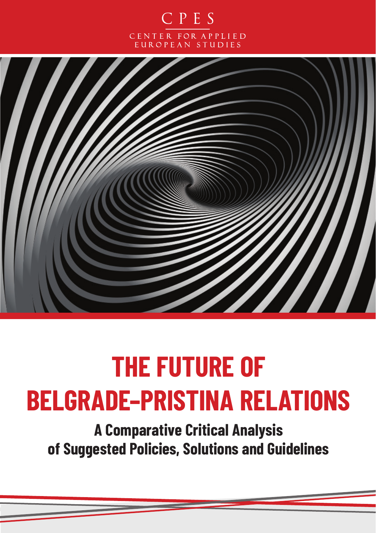



# **THE FUTURE OF BELGRADE–PRISTINA RELATIONS**

**A Comparative Critical Analysis of Suggested Policies, Solutions and Guidelines**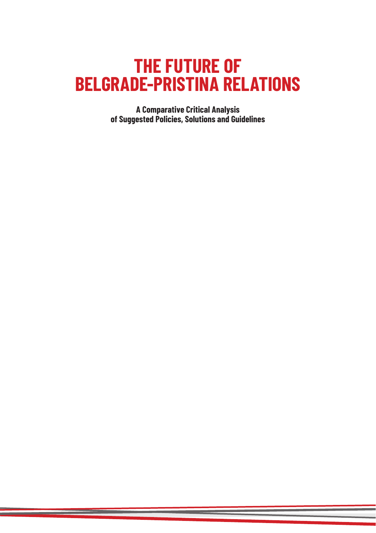## **THE FUTURE OF BELGRADE-PRISTINA RELATIONS**

**A Comparative Critical Analysis of Suggested Policies, Solutions and Guidelines**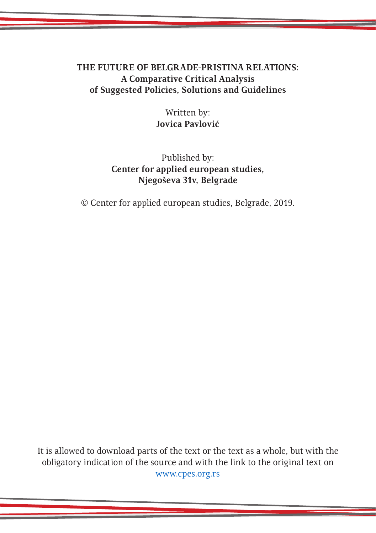#### **THE FUTURE OF BELGRADE-PRISTINA RELATIONS: A Comparative Critical Analysis of Suggested Policies, Solutions and Guidelines**

Written by: **Jovica Pavlović**

Published by: **Center for applied european studies, Njegoševa 31v, Belgrade**

© Center for applied european studies, Belgrade, 2019.

It is allowed to download parts of the text or the text as a whole, but with the obligatory indication of the source and with the link to the original text on www.cpes.org.rs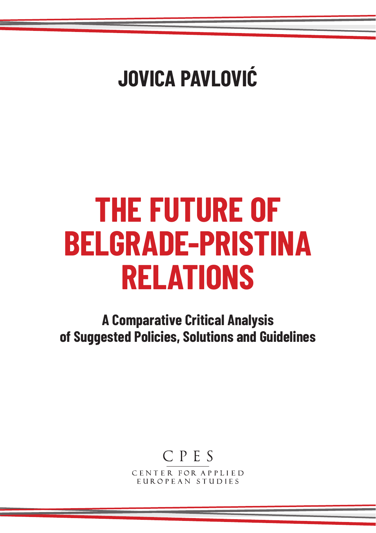# **JOVICA PAVLOVIĆ**

# **THE FUTURE OF BELGRADE-PRISTINA RELATIONS**

**A Comparative Critical Analysis of Suggested Policies, Solutions and Guidelines**

## CPES

CENTER FOR APPLIED EUROPEAN STUDIES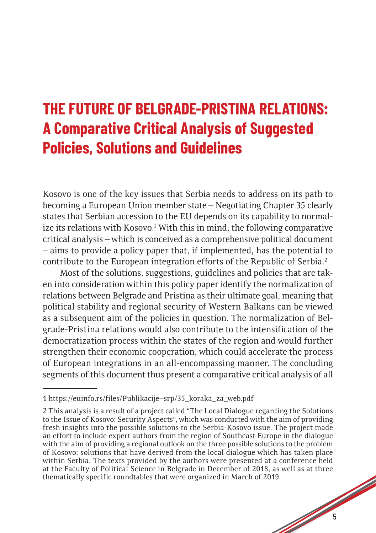## **THE FUTURE OF BELGRADE-PRISTINA RELATIONS: A Comparative Critical Analysis of Suggested Policies, Solutions and Guidelines**

Kosovo is one of the key issues that Serbia needs to address on its path to becoming a European Union member state – Negotiating Chapter 35 clearly states that Serbian accession to the EU depends on its capability to normalize its relations with Kosovo.<sup>1</sup> With this in mind, the following comparative critical analysis – which is conceived as a comprehensive political document – aims to provide a policy paper that, if implemented, has the potential to contribute to the European integration efforts of the Republic of Serbia.<sup>2</sup>

Most of the solutions, suggestions, guidelines and policies that are taken into consideration within this policy paper identify the normalization of relations between Belgrade and Pristina as their ultimate goal, meaning that political stability and regional security of Western Balkans can be viewed as a subsequent aim of the policies in question. The normalization of Belgrade-Pristina relations would also contribute to the intensification of the democratization process within the states of the region and would further strengthen their economic cooperation, which could accelerate the process of European integrations in an all-encompassing manner. The concluding segments of this document thus present a comparative critical analysis of all

<sup>1</sup> https://euinfo.rs/files/Publikacije–srp/35\_koraka\_za\_web.pdf

<sup>1</sup> 2 This analysis is a result of a project called "The Local Dialogue regarding the Solutions to the Issue of Kosovo: Security Aspects", which was conducted with the aim of providing fresh insights into the possible solutions to the Serbia-Kosovo issue. The project made an effort to include expert authors from the region of Southeast Europe in the dialogue with the aim of providing a regional outlook on the three possible solutions to the problem of Kosovo; solutions that have derived from the local dialogue which has taken place within Serbia. The texts provided by the authors were presented at a conference held at the Faculty of Political Science in Belgrade in December of 2018, as well as at three thematically specific roundtables that were organized in March of 2019.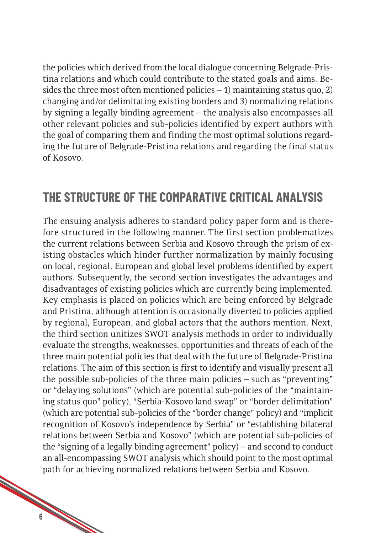the policies which derived from the local dialogue concerning Belgrade-Pristina relations and which could contribute to the stated goals and aims. Besides the three most often mentioned policies  $-1$ ) maintaining status quo, 2) changing and/or delimitating existing borders and 3) normalizing relations by signing a legally binding agreement – the analysis also encompasses all other relevant policies and sub-policies identified by expert authors with the goal of comparing them and finding the most optimal solutions regarding the future of Belgrade-Pristina relations and regarding the final status of Kosovo.

#### **THE STRUCTURE OF THE COMPARATIVE CRITICAL ANALYSIS**

a de destina de la calcada de la calcada de la calcada de la calcada de la calcada de la calcada de la calcada de la calcada de la calcada de la calcada de la calcada de la calcada de la calcada de la calcada de la calcada The ensuing analysis adheres to standard policy paper form and is therefore structured in the following manner. The first section problematizes the current relations between Serbia and Kosovo through the prism of existing obstacles which hinder further normalization by mainly focusing on local, regional, European and global level problems identified by expert authors. Subsequently, the second section investigates the advantages and disadvantages of existing policies which are currently being implemented. Key emphasis is placed on policies which are being enforced by Belgrade and Pristina, although attention is occasionally diverted to policies applied by regional, European, and global actors that the authors mention. Next, the third section unitizes SWOT analysis methods in order to individually evaluate the strengths, weaknesses, opportunities and threats of each of the three main potential policies that deal with the future of Belgrade-Pristina relations. The aim of this section is first to identify and visually present all the possible sub-policies of the three main policies – such as "preventing" or "delaying solutions" (which are potential sub-policies of the "maintaining status quo" policy), "Serbia-Kosovo land swap" or "border delimitation" (which are potential sub-policies of the "border change" policy) and "implicit recognition of Kosovo's independence by Serbia" or "establishing bilateral relations between Serbia and Kosovo" (which are potential sub-policies of the "signing of a legally binding agreement" policy) – and second to conduct an all-encompassing SWOT analysis which should point to the most optimal path for achieving normalized relations between Serbia and Kosovo.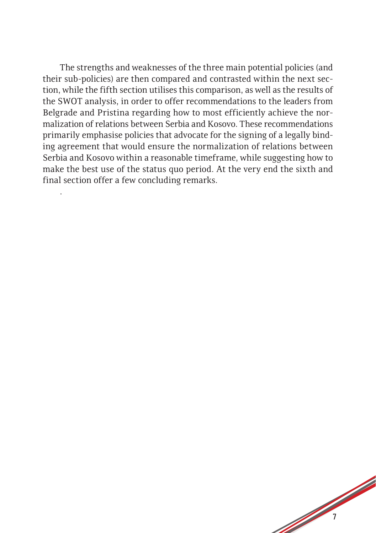The strengths and weaknesses of the three main potential policies (and their sub-policies) are then compared and contrasted within the next section, while the fifth section utilises this comparison, as well as the results of the SWOT analysis, in order to offer recommendations to the leaders from Belgrade and Pristina regarding how to most efficiently achieve the normalization of relations between Serbia and Kosovo. These recommendations primarily emphasise policies that advocate for the signing of a legally binding agreement that would ensure the normalization of relations between Serbia and Kosovo within a reasonable timeframe, while suggesting how to make the best use of the status quo period. At the very end the sixth and final section offer a few concluding remarks.

.

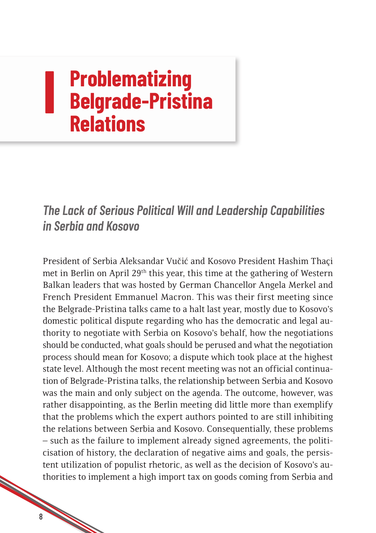### **I Problematizing Belgrade-Pristina Relations**

*The Lack of Serious Political Will and Leadership Capabilities in Serbia and Kosovo*

President of Serbia Aleksandar Vučić and Kosovo President Hashim Thaçi met in Berlin on April 29th this year, this time at the gathering of Western Balkan leaders that was hosted by German Chancellor Angela Merkel and French President Emmanuel Macron. This was their first meeting since the Belgrade-Pristina talks came to a halt last year, mostly due to Kosovo's domestic political dispute regarding who has the democratic and legal authority to negotiate with Serbia on Kosovo's behalf, how the negotiations should be conducted, what goals should be perused and what the negotiation process should mean for Kosovo; a dispute which took place at the highest state level. Although the most recent meeting was not an official continuation of Belgrade-Pristina talks, the relationship between Serbia and Kosovo was the main and only subject on the agenda. The outcome, however, was rather disappointing, as the Berlin meeting did little more than exemplify that the problems which the expert authors pointed to are still inhibiting the relations between Serbia and Kosovo. Consequentially, these problems – such as the failure to implement already signed agreements, the politicisation of history, the declaration of negative aims and goals, the persistent utilization of populist rhetoric, as well as the decision of Kosovo's authorities to implement a high import tax on goods coming from Serbia and

8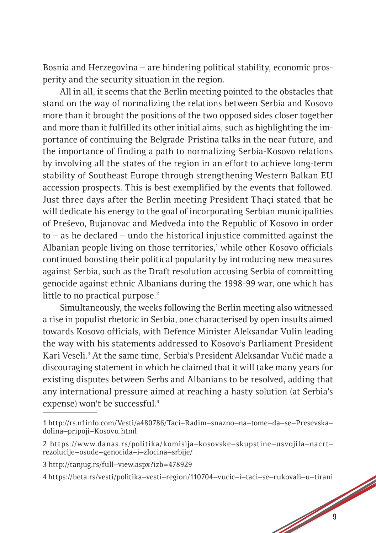Bosnia and Herzegovina – are hindering political stability, economic prosperity and the security situation in the region.

All in all, it seems that the Berlin meeting pointed to the obstacles that stand on the way of normalizing the relations between Serbia and Kosovo more than it brought the positions of the two opposed sides closer together and more than it fulfilled its other initial aims, such as highlighting the importance of continuing the Belgrade-Pristina talks in the near future, and the importance of finding a path to normalizing Serbia-Kosovo relations by involving all the states of the region in an effort to achieve long-term stability of Southeast Europe through strengthening Western Balkan EU accession prospects. This is best exemplified by the events that followed. Just three days after the Berlin meeting President Thaçi stated that he will dedicate his energy to the goal of incorporating Serbian municipalities of Preševo, Bujanovac and Medveđa into the Republic of Kosovo in order to – as he declared – undo the historical injustice committed against the Albanian people living on those territories,<sup>1</sup> while other Kosovo officials continued boosting their political popularity by introducing new measures against Serbia, such as the Draft resolution accusing Serbia of committing genocide against ethnic Albanians during the 1998-99 war, one which has little to no practical purpose.<sup>2</sup>

Simultaneously, the weeks following the Berlin meeting also witnessed a rise in populist rhetoric in Serbia, one characterised by open insults aimed towards Kosovo officials, with Defence Minister Aleksandar Vulin leading the way with his statements addressed to Kosovo's Parliament President Kari Veseli.<sup>3</sup> At the same time, Serbia's President Aleksandar Vučić made a discouraging statement in which he claimed that it will take many years for existing disputes between Serbs and Albanians to be resolved, adding that any international pressure aimed at reaching a hasty solution (at Serbia's expense) won't be successful.4

<sup>1</sup> http://rs.n1info.com/Vesti/a480786/Taci–Radim–snazno–na–tome–da–se–Presevska– dolina–pripoji–Kosovu.html

<sup>2</sup> https://www.danas.rs/politika/komisija–kosovske–skupstine–usvojila–nacrt– rezolucije–osude–genocida–i–zlocina–srbije/

<sup>3</sup> http://tanjug.rs/full–view.aspx?izb=478929

<sup>1999</sup> 4 https://beta.rs/vesti/politika–vesti–region/110704–vucic–i–taci–se–rukovali–u–tirani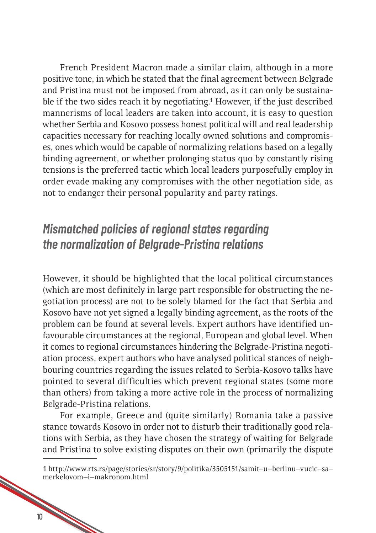French President Macron made a similar claim, although in a more positive tone, in which he stated that the final agreement between Belgrade and Pristina must not be imposed from abroad, as it can only be sustainable if the two sides reach it by negotiating.<sup>1</sup> However, if the just described mannerisms of local leaders are taken into account, it is easy to question whether Serbia and Kosovo possess honest political will and real leadership capacities necessary for reaching locally owned solutions and compromises, ones which would be capable of normalizing relations based on a legally binding agreement, or whether prolonging status quo by constantly rising tensions is the preferred tactic which local leaders purposefully employ in order evade making any compromises with the other negotiation side, as not to endanger their personal popularity and party ratings.

#### *Mismatched policies of regional states regarding the normalization of Belgrade-Pristina relations*

However, it should be highlighted that the local political circumstances (which are most definitely in large part responsible for obstructing the negotiation process) are not to be solely blamed for the fact that Serbia and Kosovo have not yet signed a legally binding agreement, as the roots of the problem can be found at several levels. Expert authors have identified unfavourable circumstances at the regional, European and global level. When it comes to regional circumstances hindering the Belgrade-Pristina negotiation process, expert authors who have analysed political stances of neighbouring countries regarding the issues related to Serbia-Kosovo talks have pointed to several difficulties which prevent regional states (some more than others) from taking a more active role in the process of normalizing Belgrade-Pristina relations.

For example, Greece and (quite similarly) Romania take a passive stance towards Kosovo in order not to disturb their traditionally good relations with Serbia, as they have chosen the strategy of waiting for Belgrade and Pristina to solve existing disputes on their own (primarily the dispute

<sup>10</sup> Miles 1 http://www.rts.rs/page/stories/sr/story/9/politika/3505151/samit–u–berlinu–vucic–sa– merkelovom–i–makronom.html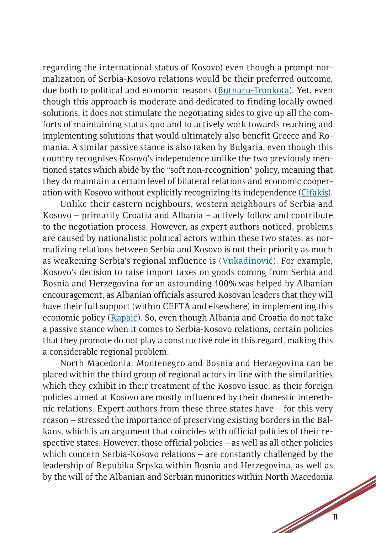regarding the international status of Kosovo) even though a prompt normalization of Serbia-Kosovo relations would be their preferred outcome, due both to political and economic reasons [\(Butnaru-Tronkota\)](http://media.cpes.org.rs/2019/09/Miruna-Butnaru-Troncot%C4%83.pdf). Yet, even though this approach is moderate and dedicated to finding locally owned solutions, it does not stimulate the negotiating sides to give up all the comforts of maintaining status quo and to actively work towards reaching and implementing solutions that would ultimately also benefit Greece and Romania. A similar passive stance is also taken by Bulgaria, even though this country recognises Kosovo's independence unlike the two previously mentioned states which abide by the "soft non-recognition" policy, meaning that they do maintain a certain level of bilateral relations and economic cooperation with Kosovo without explicitly recognizing its independence [\(Cifakis\)](http://media.cpes.org.rs/2019/09/Nikolaos-Tzifakis.pdf).

Unlike their eastern neighbours, western neighbours of Serbia and Kosovo – primarily Croatia and Albania – actively follow and contribute to the negotiation process. However, as expert authors noticed, problems are caused by nationalistic political actors within these two states, as normalizing relations between Serbia and Kosovo is not their priority as much as weakening Serbia's regional influence is ([Vukadinović](http://media.cpes.org.rs/2019/09/Radovan-Vukadinovic-KOSOVO-SERBIA-2018-003.pdf)). For example, Kosovo's decision to raise import taxes on goods coming from Serbia and Bosnia and Herzegovina for an astounding 100% was helped by Albanian encouragement, as Albanian officials assured Kosovan leaders that they will have their full support (within CEFTA and elsewhere) in implementing this economic policy (Rapaić). So, even though Albania and Croatia do not take a passive stance when it comes to Serbia-Kosovo relations, certain policies that they promote do not play a constructive role in this regard, making this a considerable regional problem.

North Macedonia, Montenegro and Bosnia and Herzegovina can be placed within the third group of regional actors in line with the similarities which they exhibit in their treatment of the Kosovo issue, as their foreign policies aimed at Kosovo are mostly influenced by their domestic interethnic relations. Expert authors from these three states have – for this very reason – stressed the importance of preserving existing borders in the Balkans, which is an argument that coincides with official policies of their respective states. However, those official policies – as well as all other policies which concern Serbia-Kosovo relations – are constantly challenged by the leadership of Repubika Srpska within Bosnia and Herzegovina, as well as by the will of the Albanian and Serbian minorities within North Macedonia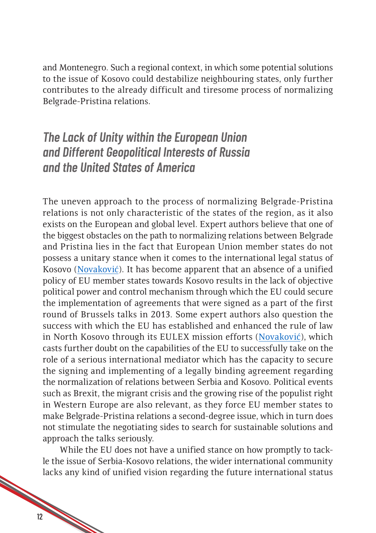and Montenegro. Such a regional context, in which some potential solutions to the issue of Kosovo could destabilize neighbouring states, only further contributes to the already difficult and tiresome process of normalizing Belgrade-Pristina relations.

#### *The Lack of Unity within the European Union and Different Geopolitical Interests of Russia and the United States of America*

The uneven approach to the process of normalizing Belgrade-Pristina relations is not only characteristic of the states of the region, as it also exists on the European and global level. Expert authors believe that one of the biggest obstacles on the path to normalizing relations between Belgrade and Pristina lies in the fact that European Union member states do not possess a unitary stance when it comes to the international legal status of Kosovo [\(Novaković\)](http://media.cpes.org.rs/2019/09/Igor-Novakovic.pdf). It has become apparent that an absence of a unified policy of EU member states towards Kosovo results in the lack of objective political power and control mechanism through which the EU could secure the implementation of agreements that were signed as a part of the first round of Brussels talks in 2013. Some expert authors also question the success with which the EU has established and enhanced the rule of law in North Kosovo through its EULEX mission efforts [\(Novaković](http://media.cpes.org.rs/2019/09/Igor-Novakovic.pdf)), which casts further doubt on the capabilities of the EU to successfully take on the role of a serious international mediator which has the capacity to secure the signing and implementing of a legally binding agreement regarding the normalization of relations between Serbia and Kosovo. Political events such as Brexit, the migrant crisis and the growing rise of the populist right in Western Europe are also relevant, as they force EU member states to make Belgrade-Pristina relations a second-degree issue, which in turn does not stimulate the negotiating sides to search for sustainable solutions and approach the talks seriously.

While the EU does not have a unified stance on how promptly to tackle the issue of Serbia-Kosovo relations, the wider international community lacks any kind of unified vision regarding the future international status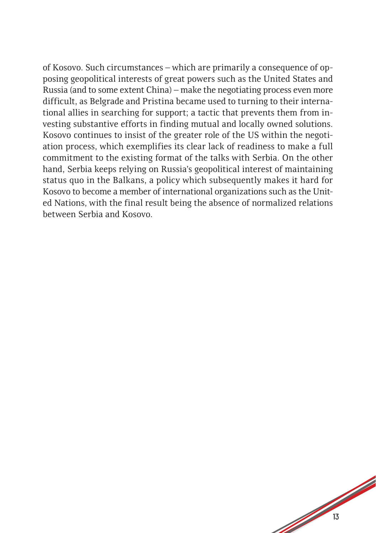of Kosovo. Such circumstances – which are primarily a consequence of opposing geopolitical interests of great powers such as the United States and Russia (and to some extent China) – make the negotiating process even more difficult, as Belgrade and Pristina became used to turning to their international allies in searching for support; a tactic that prevents them from investing substantive efforts in finding mutual and locally owned solutions. Kosovo continues to insist of the greater role of the US within the negotiation process, which exemplifies its clear lack of readiness to make a full commitment to the existing format of the talks with Serbia. On the other hand, Serbia keeps relying on Russia's geopolitical interest of maintaining status quo in the Balkans, a policy which subsequently makes it hard for Kosovo to become a member of international organizations such as the United Nations, with the final result being the absence of normalized relations between Serbia and Kosovo.

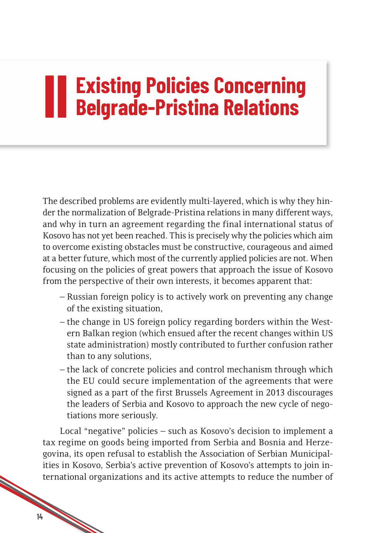# **III Existing Policies Concerning<br>
Belgrade-Pristina Relations Belgrade-Pristina Relations**

The described problems are evidently multi-layered, which is why they hinder the normalization of Belgrade-Pristina relations in many different ways, and why in turn an agreement regarding the final international status of Kosovo has not yet been reached. This is precisely why the policies which aim to overcome existing obstacles must be constructive, courageous and aimed at a better future, which most of the currently applied policies are not. When focusing on the policies of great powers that approach the issue of Kosovo from the perspective of their own interests, it becomes apparent that:

- Russian foreign policy is to actively work on preventing any change of the existing situation,
- the change in US foreign policy regarding borders within the Western Balkan region (which ensued after the recent changes within US state administration) mostly contributed to further confusion rather than to any solutions,
- the lack of concrete policies and control mechanism through which the EU could secure implementation of the agreements that were signed as a part of the first Brussels Agreement in 2013 discourages the leaders of Serbia and Kosovo to approach the new cycle of negotiations more seriously.

Local "negative" policies – such as Kosovo's decision to implement a tax regime on goods being imported from Serbia and Bosnia and Herzegovina, its open refusal to establish the Association of Serbian Municipalities in Kosovo, Serbia's active prevention of Kosovo's attempts to join international organizations and its active attempts to reduce the number of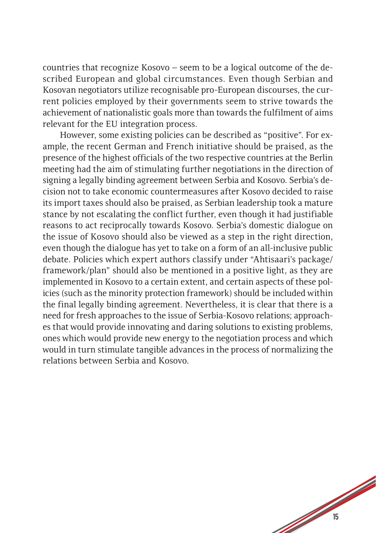countries that recognize Kosovo – seem to be a logical outcome of the described European and global circumstances. Even though Serbian and Kosovan negotiators utilize recognisable pro-European discourses, the current policies employed by their governments seem to strive towards the achievement of nationalistic goals more than towards the fulfilment of aims relevant for the EU integration process.

However, some existing policies can be described as "positive". For example, the recent German and French initiative should be praised, as the presence of the highest officials of the two respective countries at the Berlin meeting had the aim of stimulating further negotiations in the direction of signing a legally binding agreement between Serbia and Kosovo. Serbia's decision not to take economic countermeasures after Kosovo decided to raise its import taxes should also be praised, as Serbian leadership took a mature stance by not escalating the conflict further, even though it had justifiable reasons to act reciprocally towards Kosovo. Serbia's domestic dialogue on the issue of Kosovo should also be viewed as a step in the right direction, even though the dialogue has yet to take on a form of an all-inclusive public debate. Policies which expert authors classify under "Ahtisaari's package/ framework/plan" should also be mentioned in a positive light, as they are implemented in Kosovo to a certain extent, and certain aspects of these policies (such as the minority protection framework) should be included within the final legally binding agreement. Nevertheless, it is clear that there is a need for fresh approaches to the issue of Serbia-Kosovo relations; approaches that would provide innovating and daring solutions to existing problems, ones which would provide new energy to the negotiation process and which would in turn stimulate tangible advances in the process of normalizing the relations between Serbia and Kosovo.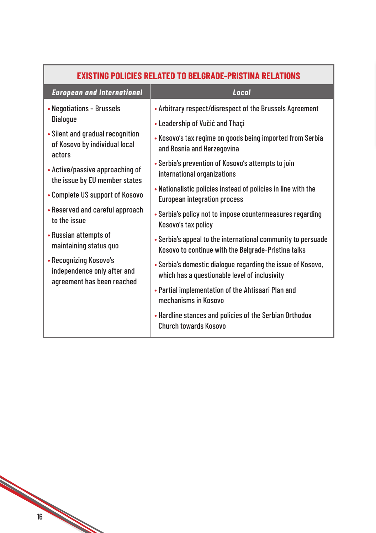| EXISTING POLICIES RELATED TO BELGRADE-PRISTINA RELATIONS                            |                                                                                                                     |  |
|-------------------------------------------------------------------------------------|---------------------------------------------------------------------------------------------------------------------|--|
| <b>European and International</b>                                                   | <b>Local</b>                                                                                                        |  |
| • Negotiations - Brussels                                                           | • Arbitrary respect/disrespect of the Brussels Agreement                                                            |  |
| <b>Dialogue</b>                                                                     | • Leadership of Vučić and Thaçi                                                                                     |  |
| • Silent and gradual recognition<br>of Kosovo by individual local<br>actors         | • Kosovo's tax regime on goods being imported from Serbia<br>and Bosnia and Herzegovina                             |  |
| • Active/passive approaching of<br>the issue by EU member states                    | • Serbia's prevention of Kosovo's attempts to join<br>international organizations                                   |  |
| • Complete US support of Kosovo                                                     | • Nationalistic policies instead of policies in line with the<br><b>European integration process</b>                |  |
| • Reserved and careful approach<br>to the issue                                     | • Serbia's policy not to impose countermeasures regarding<br>Kosovo's tax policy                                    |  |
| • Russian attempts of<br>maintaining status quo                                     | • Serbia's appeal to the international community to persuade<br>Kosovo to continue with the Belgrade-Pristina talks |  |
| • Recognizing Kosovo's<br>independence only after and<br>agreement has been reached | • Serbia's domestic dialogue regarding the issue of Kosovo,<br>which has a questionable level of inclusivity        |  |
|                                                                                     | • Partial implementation of the Ahtisaari Plan and<br>mechanisms in Kosovo                                          |  |
|                                                                                     | • Hardline stances and policies of the Serbian Orthodox<br><b>Church towards Kosovo</b>                             |  |
|                                                                                     |                                                                                                                     |  |

**Contract Contract Contract Contract Contract Contract Contract Contract Contract Contract Contract Contract Contract Contract Contract Contract Contract Contract Contract Contract Contract Contract Contract Contract Contr**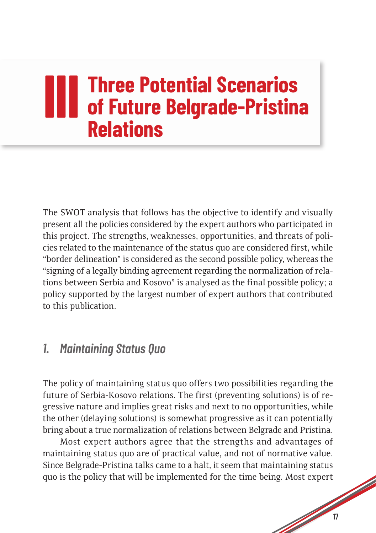## **III III Three Potential Scenarios**<br> **III of Future Belgrade-Pristina of Future Belgrade-Pristina Relations**

The SWOT analysis that follows has the objective to identify and visually present all the policies considered by the expert authors who participated in this project. The strengths, weaknesses, opportunities, and threats of policies related to the maintenance of the status quo are considered first, while "border delineation" is considered as the second possible policy, whereas the "signing of a legally binding agreement regarding the normalization of relations between Serbia and Kosovo" is analysed as the final possible policy; a policy supported by the largest number of expert authors that contributed to this publication.

#### *1. Maintaining Status Quo*

The policy of maintaining status quo offers two possibilities regarding the future of Serbia-Kosovo relations. The first (preventing solutions) is of regressive nature and implies great risks and next to no opportunities, while the other (delaying solutions) is somewhat progressive as it can potentially bring about a true normalization of relations between Belgrade and Pristina.

Most expert authors agree that the strengths and advantages of maintaining status quo are of practical value, and not of normative value. Since Belgrade-Pristina talks came to a halt, it seem that maintaining status quo is the policy that will be implemented for the time being. Most expert

**South Contract Contract Contract Contract Contract Contract Contract Contract Contract Contract Contract Contract Contract Contract Contract Contract Contract Contract Contract Contract Contract Contract Contract Contract**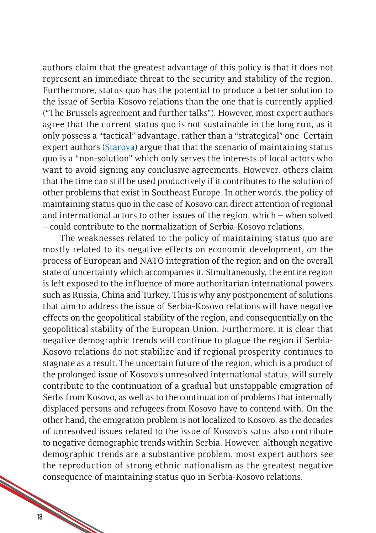authors claim that the greatest advantage of this policy is that it does not represent an immediate threat to the security and stability of the region. Furthermore, status quo has the potential to produce a better solution to the issue of Serbia-Kosovo relations than the one that is currently applied ("The Brussels agreement and further talks"). However, most expert authors agree that the current status quo is not sustainable in the long run, as it only possess a "tactical" advantage, rather than a "strategical" one. Certain expert authors [\(Starova\)](http://media.cpes.org.rs/2019/09/Arian-Starova.pdf) argue that that the scenario of maintaining status quo is a "non-solution" which only serves the interests of local actors who want to avoid signing any conclusive agreements. However, others claim that the time can still be used productively if it contributes to the solution of other problems that exist in Southeast Europe. In other words, the policy of maintaining status quo in the case of Kosovo can direct attention of regional and international actors to other issues of the region, which – when solved – could contribute to the normalization of Serbia-Kosovo relations.

The weaknesses related to the policy of maintaining status quo are mostly related to its negative effects on economic development, on the process of European and NATO integration of the region and on the overall state of uncertainty which accompanies it. Simultaneously, the entire region is left exposed to the influence of more authoritarian international powers such as Russia, China and Turkey. This is why any postponement of solutions that aim to address the issue of Serbia-Kosovo relations will have negative effects on the geopolitical stability of the region, and consequentially on the geopolitical stability of the European Union. Furthermore, it is clear that negative demographic trends will continue to plague the region if Serbia-Kosovo relations do not stabilize and if regional prosperity continues to stagnate as a result. The uncertain future of the region, which is a product of the prolonged issue of Kosovo's unresolved international status, will surely contribute to the continuation of a gradual but unstoppable emigration of Serbs from Kosovo, as well as to the continuation of problems that internally displaced persons and refugees from Kosovo have to contend with. On the other hand, the emigration problem is not localized to Kosovo, as the decades of unresolved issues related to the issue of Kosovo's satus also contribute to negative demographic trends within Serbia. However, although negative demographic trends are a substantive problem, most expert authors see the reproduction of strong ethnic nationalism as the greatest negative consequence of maintaining status quo in Serbia-Kosovo relations.

18/10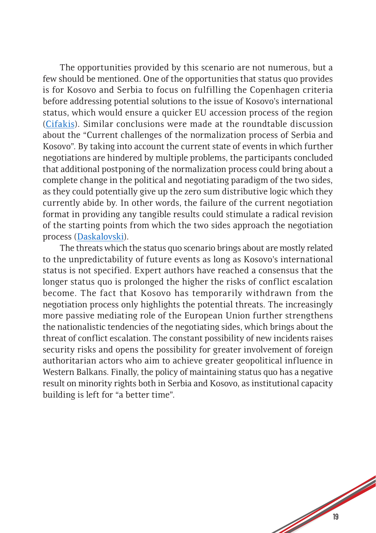The opportunities provided by this scenario are not numerous, but a few should be mentioned. One of the opportunities that status quo provides is for Kosovo and Serbia to focus on fulfilling the Copenhagen criteria before addressing potential solutions to the issue of Kosovo's international status, which would ensure a quicker EU accession process of the region [\(Cifakis\)](http://media.cpes.org.rs/2019/09/Nikolaos-Tzifakis.pdf). Similar conclusions were made at the roundtable discussion about the "Current challenges of the normalization process of Serbia and Kosovo". By taking into account the current state of events in which further negotiations are hindered by multiple problems, the participants concluded that additional postponing of the normalization process could bring about a complete change in the political and negotiating paradigm of the two sides, as they could potentially give up the zero sum distributive logic which they currently abide by. In other words, the failure of the current negotiation format in providing any tangible results could stimulate a radical revision of the starting points from which the two sides approach the negotiation process (Daskalovski).

The threats which the status quo scenario brings about are mostly related to the unpredictability of future events as long as Kosovo's international status is not specified. Expert authors have reached a consensus that the longer status quo is prolonged the higher the risks of conflict escalation become. The fact that Kosovo has temporarily withdrawn from the negotiation process only highlights the potential threats. The increasingly more passive mediating role of the European Union further strengthens the nationalistic tendencies of the negotiating sides, which brings about the threat of conflict escalation. The constant possibility of new incidents raises security risks and opens the possibility for greater involvement of foreign authoritarian actors who aim to achieve greater geopolitical influence in Western Balkans. Finally, the policy of maintaining status quo has a negative result on minority rights both in Serbia and Kosovo, as institutional capacity building is left for "a better time".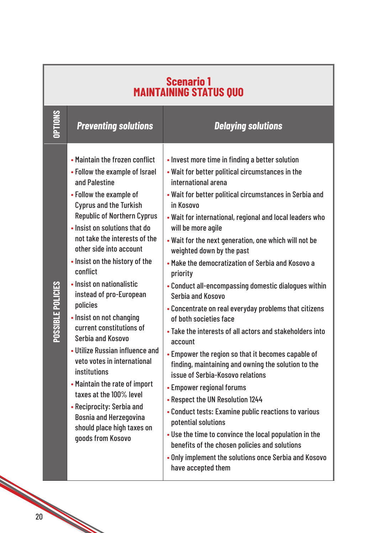| Scenario 1<br>MAINTAINING STATUS QUO |                                                                                                                                                                                                                                                                                                                                                                                                                                                                                                                                                                                                                                                                                                                                                       |                                                                                                                                                                                                                                                                                                                                                                                                                                                                                                                                                                                                                                                                                                                                                                                                                                                                                                                                                                                                                                                                                                                                                                               |
|--------------------------------------|-------------------------------------------------------------------------------------------------------------------------------------------------------------------------------------------------------------------------------------------------------------------------------------------------------------------------------------------------------------------------------------------------------------------------------------------------------------------------------------------------------------------------------------------------------------------------------------------------------------------------------------------------------------------------------------------------------------------------------------------------------|-------------------------------------------------------------------------------------------------------------------------------------------------------------------------------------------------------------------------------------------------------------------------------------------------------------------------------------------------------------------------------------------------------------------------------------------------------------------------------------------------------------------------------------------------------------------------------------------------------------------------------------------------------------------------------------------------------------------------------------------------------------------------------------------------------------------------------------------------------------------------------------------------------------------------------------------------------------------------------------------------------------------------------------------------------------------------------------------------------------------------------------------------------------------------------|
| <b>OPTIONS</b>                       | <b>Preventing solutions</b>                                                                                                                                                                                                                                                                                                                                                                                                                                                                                                                                                                                                                                                                                                                           | <b>Delaying solutions</b>                                                                                                                                                                                                                                                                                                                                                                                                                                                                                                                                                                                                                                                                                                                                                                                                                                                                                                                                                                                                                                                                                                                                                     |
| POSSIBLE POLICIES                    | • Maintain the frozen conflict<br>• Follow the example of Israel<br>and Palestine<br>• Follow the example of<br><b>Cyprus and the Turkish</b><br><b>Republic of Northern Cyprus</b><br>. Insist on solutions that do<br>not take the interests of the<br>other side into account<br>. Insist on the history of the<br>conflict<br>· Insist on nationalistic<br>instead of pro-European<br>policies<br>• Insist on not changing<br>current constitutions of<br>Serbia and Kosovo<br>• Utilize Russian influence and<br>veto votes in international<br><b>institutions</b><br>• Maintain the rate of import<br>taxes at the 100% level<br>• Reciprocity: Serbia and<br><b>Bosnia and Herzegovina</b><br>should place high taxes on<br>goods from Kosovo | • Invest more time in finding a better solution<br>. Wait for better political circumstances in the<br>international arena<br>• Wait for better political circumstances in Serbia and<br>in Kosovo<br>. Wait for international, regional and local leaders who<br>will be more agile<br>. Wait for the next generation, one which will not be<br>weighted down by the past<br>• Make the democratization of Serbia and Kosovo a<br>priority<br>• Conduct all-encompassing domestic dialogues within<br>Serbia and Kosovo<br>• Concentrate on real everyday problems that citizens<br>of both societies face<br>• Take the interests of all actors and stakeholders into<br>account<br>• Empower the region so that it becomes capable of<br>finding, maintaining and owning the solution to the<br>issue of Serbia-Kosovo relations<br>• Empower regional forums<br>• Respect the UN Resolution 1244<br>• Conduct tests: Examine public reactions to various<br>potential solutions<br>. Use the time to convince the local population in the<br>benefits of the chosen policies and solutions<br>. Only implement the solutions once Serbia and Kosovo<br>have accepted them |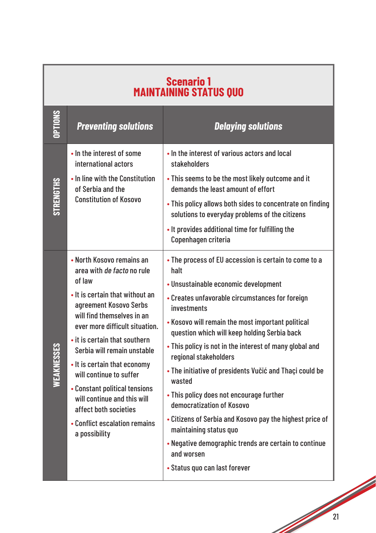| <b>Scenario 1</b><br><b>MAINTAINING STATUS QUO</b> |                                                                                                                                                                                                                                                                                                                                                                                                                                                                      |                                                                                                                                                                                                                                                                                                                                                                                                                                                                                                                                                                                                                                                                                                              |  |
|----------------------------------------------------|----------------------------------------------------------------------------------------------------------------------------------------------------------------------------------------------------------------------------------------------------------------------------------------------------------------------------------------------------------------------------------------------------------------------------------------------------------------------|--------------------------------------------------------------------------------------------------------------------------------------------------------------------------------------------------------------------------------------------------------------------------------------------------------------------------------------------------------------------------------------------------------------------------------------------------------------------------------------------------------------------------------------------------------------------------------------------------------------------------------------------------------------------------------------------------------------|--|
| <b>CONS</b>                                        | <b>Preventing solutions</b>                                                                                                                                                                                                                                                                                                                                                                                                                                          | <b>Delaying solutions</b>                                                                                                                                                                                                                                                                                                                                                                                                                                                                                                                                                                                                                                                                                    |  |
|                                                    | • In the interest of some<br>international actors<br>• In line with the Constitution                                                                                                                                                                                                                                                                                                                                                                                 | . In the interest of various actors and local<br>stakeholders<br>. This seems to be the most likely outcome and it                                                                                                                                                                                                                                                                                                                                                                                                                                                                                                                                                                                           |  |
| <b>STRENGTHS</b>                                   | of Serbia and the<br><b>Constitution of Kosovo</b>                                                                                                                                                                                                                                                                                                                                                                                                                   | demands the least amount of effort<br>. This policy allows both sides to concentrate on finding<br>solutions to everyday problems of the citizens<br>. It provides additional time for fulfilling the<br>Copenhagen criteria                                                                                                                                                                                                                                                                                                                                                                                                                                                                                 |  |
| WEAKNESSES                                         | • North Kosovo remains an<br>area with de facto no rule<br>of law<br>• It is certain that without an<br>agreement Kosovo Serbs<br>will find themselves in an<br>ever more difficult situation.<br>• it is certain that southern<br>Serbia will remain unstable<br>• It is certain that economy<br>will continue to suffer<br>• Constant political tensions<br>will continue and this will<br>affect both societies<br>• Conflict escalation remains<br>a possibility | • The process of EU accession is certain to come to a<br>halt<br>• Unsustainable economic development<br>• Creates unfavorable circumstances for foreign<br>investments<br>• Kosovo will remain the most important political<br>question which will keep holding Serbia back<br>• This policy is not in the interest of many global and<br>regional stakeholders<br>• The initiative of presidents Vučić and Thaçi could be<br>wasted<br>• This policy does not encourage further<br>democratization of Kosovo<br>• Citizens of Serbia and Kosovo pay the highest price of<br>maintaining status quo<br>• Negative demographic trends are certain to continue<br>and worsen<br>• Status quo can last forever |  |

1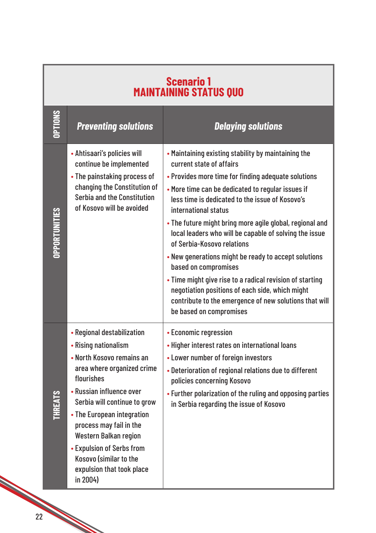| Scenario 1<br>MAINTAINING STATUS QUO |                                                                                                                                                                                                                                                                                                                                                                           |                                                                                                                                                                                                                                                                                                                                                                                                                                                                                                                                                                                                                                                                                                                |
|--------------------------------------|---------------------------------------------------------------------------------------------------------------------------------------------------------------------------------------------------------------------------------------------------------------------------------------------------------------------------------------------------------------------------|----------------------------------------------------------------------------------------------------------------------------------------------------------------------------------------------------------------------------------------------------------------------------------------------------------------------------------------------------------------------------------------------------------------------------------------------------------------------------------------------------------------------------------------------------------------------------------------------------------------------------------------------------------------------------------------------------------------|
| <b>CONOILED</b>                      | <b>Preventing solutions</b>                                                                                                                                                                                                                                                                                                                                               | <b>Delaying solutions</b>                                                                                                                                                                                                                                                                                                                                                                                                                                                                                                                                                                                                                                                                                      |
| <b>OPPORTUNITIES</b>                 | • Ahtisaari's policies will<br>continue be implemented<br>• The painstaking process of<br>changing the Constitution of<br>Serbia and the Constitution<br>of Kosovo will be avoided                                                                                                                                                                                        | • Maintaining existing stability by maintaining the<br>current state of affairs<br>• Provides more time for finding adequate solutions<br>• More time can be dedicated to regular issues if<br>less time is dedicated to the issue of Kosovo's<br>international status<br>. The future might bring more agile global, regional and<br>local leaders who will be capable of solving the issue<br>of Serbia-Kosovo relations<br>• New generations might be ready to accept solutions<br>based on compromises<br>• Time might give rise to a radical revision of starting<br>negotiation positions of each side, which might<br>contribute to the emergence of new solutions that will<br>be based on compromises |
| SJN<br>EHEL                          | • Regional destabilization<br>• Rising nationalism<br>• North Kosovo remains an<br>area where organized crime<br>flourishes<br>• Russian influence over<br>Serbia will continue to grow<br>• The European integration<br>process may fail in the<br>Western Balkan region<br>• Expulsion of Serbs from<br>Kosovo (similar to the<br>expulsion that took place<br>in 2004) | • Economic regression<br>• Higher interest rates on international loans<br>• Lower number of foreign investors<br>• Deterioration of regional relations due to different<br>policies concerning Kosovo<br>• Further polarization of the ruling and opposing parties<br>in Serbia regarding the issue of Kosovo                                                                                                                                                                                                                                                                                                                                                                                                 |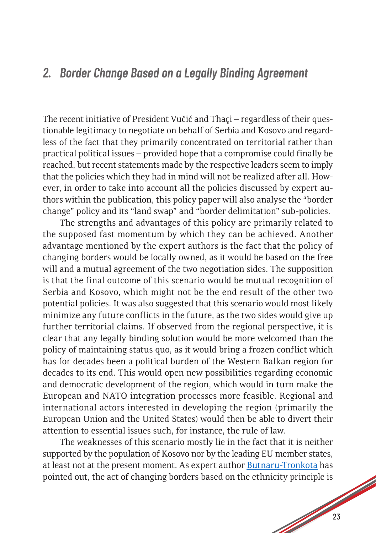#### *2. Border Change Based on a Legally Binding Agreement*

The recent initiative of President Vučić and Thaçi – regardless of their questionable legitimacy to negotiate on behalf of Serbia and Kosovo and regardless of the fact that they primarily concentrated on territorial rather than practical political issues – provided hope that a compromise could finally be reached, but recent statements made by the respective leaders seem to imply that the policies which they had in mind will not be realized after all. However, in order to take into account all the policies discussed by expert authors within the publication, this policy paper will also analyse the "border change" policy and its "land swap" and "border delimitation" sub-policies.

The strengths and advantages of this policy are primarily related to the supposed fast momentum by which they can be achieved. Another advantage mentioned by the expert authors is the fact that the policy of changing borders would be locally owned, as it would be based on the free will and a mutual agreement of the two negotiation sides. The supposition is that the final outcome of this scenario would be mutual recognition of Serbia and Kosovo, which might not be the end result of the other two potential policies. It was also suggested that this scenario would most likely minimize any future conflicts in the future, as the two sides would give up further territorial claims. If observed from the regional perspective, it is clear that any legally binding solution would be more welcomed than the policy of maintaining status quo, as it would bring a frozen conflict which has for decades been a political burden of the Western Balkan region for decades to its end. This would open new possibilities regarding economic and democratic development of the region, which would in turn make the European and NATO integration processes more feasible. Regional and international actors interested in developing the region (primarily the European Union and the United States) would then be able to divert their attention to essential issues such, for instance, the rule of law.

The weaknesses of this scenario mostly lie in the fact that it is neither supported by the population of Kosovo nor by the leading EU member states, at least not at the present moment. As expert author [Butnaru-Tronkota](http://media.cpes.org.rs/2019/09/Miruna-Butnaru-Troncot%C4%83.pdf) has pointed out, the act of changing borders based on the ethnicity principle is

**South Contract Contract Contract Contract Contract Contract Contract Contract Contract Contract Contract Contract Contract Contract Contract Contract Contract Contract Contract Contract Contract Contract Contract Contract**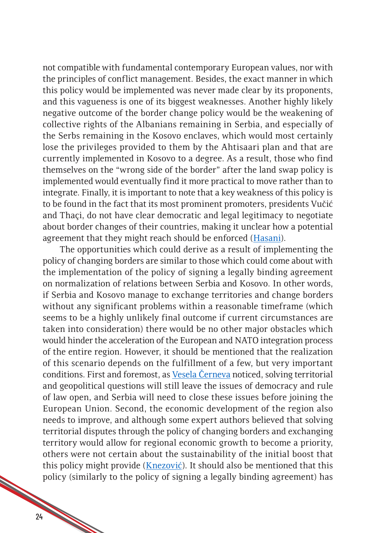not compatible with fundamental contemporary European values, nor with the principles of conflict management. Besides, the exact manner in which this policy would be implemented was never made clear by its proponents, and this vagueness is one of its biggest weaknesses. Another highly likely negative outcome of the border change policy would be the weakening of collective rights of the Albanians remaining in Serbia, and especially of the Serbs remaining in the Kosovo enclaves, which would most certainly lose the privileges provided to them by the Ahtisaari plan and that are currently implemented in Kosovo to a degree. As a result, those who find themselves on the "wrong side of the border" after the land swap policy is implemented would eventually find it more practical to move rather than to integrate. Finally, it is important to note that a key weakness of this policy is to be found in the fact that its most prominent promoters, presidents Vučić and Thaçi, do not have clear democratic and legal legitimacy to negotiate about border changes of their countries, making it unclear how a potential agreement that they might reach should be enforced [\(Hasani\)](http://media.cpes.org.rs/2019/09/Enver-Hasani.pdf).

The opportunities which could derive as a result of implementing the policy of changing borders are similar to those which could come about with the implementation of the policy of signing a legally binding agreement on normalization of relations between Serbia and Kosovo. In other words, if Serbia and Kosovo manage to exchange territories and change borders without any significant problems within a reasonable timeframe (which seems to be a highly unlikely final outcome if current circumstances are taken into consideration) there would be no other major obstacles which would hinder the acceleration of the European and NATO integration process of the entire region. However, it should be mentioned that the realization of this scenario depends on the fulfillment of a few, but very important conditions. First and foremost, as [Vesela Černeva](http://media.cpes.org.rs/2019/09/Vessela-Tcherneva.pdf) noticed, solving territorial and geopolitical questions will still leave the issues of democracy and rule of law open, and Serbia will need to close these issues before joining the European Union. Second, the economic development of the region also needs to improve, and although some expert authors believed that solving territorial disputes through the policy of changing borders and exchanging territory would allow for regional economic growth to become a priority, others were not certain about the sustainability of the initial boost that this policy might provide ([Knezović\)](http://media.cpes.org.rs/2019/09/Sandro-Knezovic.pdf). It should also be mentioned that this policy (similarly to the policy of signing a legally binding agreement) has

24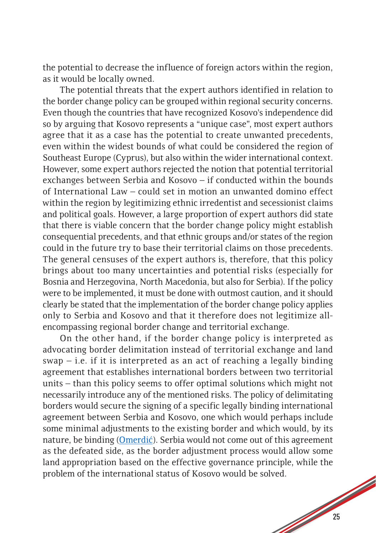the potential to decrease the influence of foreign actors within the region, as it would be locally owned.

The potential threats that the expert authors identified in relation to the border change policy can be grouped within regional security concerns. Even though the countries that have recognized Kosovo's independence did so by arguing that Kosovo represents a "unique case", most expert authors agree that it as a case has the potential to create unwanted precedents, even within the widest bounds of what could be considered the region of Southeast Europe (Cyprus), but also within the wider international context. However, some expert authors rejected the notion that potential territorial exchanges between Serbia and Kosovo – if conducted within the bounds of International Law – could set in motion an unwanted domino effect within the region by legitimizing ethnic irredentist and secessionist claims and political goals. However, a large proportion of expert authors did state that there is viable concern that the border change policy might establish consequential precedents, and that ethnic groups and/or states of the region could in the future try to base their territorial claims on those precedents. The general censuses of the expert authors is, therefore, that this policy brings about too many uncertainties and potential risks (especially for Bosnia and Herzegovina, North Macedonia, but also for Serbia). If the policy were to be implemented, it must be done with outmost caution, and it should clearly be stated that the implementation of the border change policy applies only to Serbia and Kosovo and that it therefore does not legitimize allencompassing regional border change and territorial exchange.

1000 On the other hand, if the border change policy is interpreted as advocating border delimitation instead of territorial exchange and land  $swap$  – i.e. if it is interpreted as an act of reaching a legally binding agreement that establishes international borders between two territorial units – than this policy seems to offer optimal solutions which might not necessarily introduce any of the mentioned risks. The policy of delimitating borders would secure the signing of a specific legally binding international agreement between Serbia and Kosovo, one which would perhaps include some minimal adjustments to the existing border and which would, by its nature, be binding (Omerdić). Serbia would not come out of this agreement as the defeated side, as the border adjustment process would allow some land appropriation based on the effective governance principle, while the problem of the international status of Kosovo would be solved.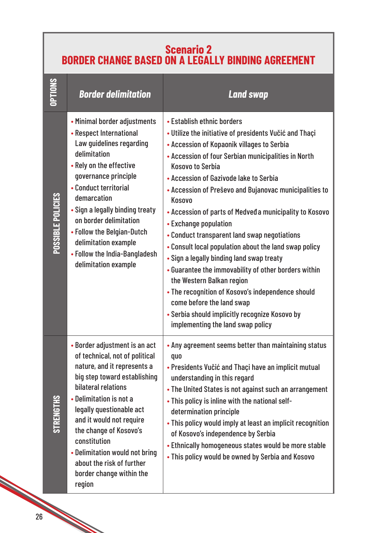#### **Scenario 2 BORDER CHANGE BASED ON A LEGALLY BINDING AGREEMENT**

| OPTIONS           | <b>Border delimitation</b>                                                                                                                                                                                                                                                                                                                                                              | <b>Land swap</b>                                                                                                                                                                                                                                                                                                                                                                                                                                                                                                                                                                                                                                                                                                                                                                                                                          |
|-------------------|-----------------------------------------------------------------------------------------------------------------------------------------------------------------------------------------------------------------------------------------------------------------------------------------------------------------------------------------------------------------------------------------|-------------------------------------------------------------------------------------------------------------------------------------------------------------------------------------------------------------------------------------------------------------------------------------------------------------------------------------------------------------------------------------------------------------------------------------------------------------------------------------------------------------------------------------------------------------------------------------------------------------------------------------------------------------------------------------------------------------------------------------------------------------------------------------------------------------------------------------------|
| POSSIBLE POLICIES | • Minimal border adjustments<br>• Respect International<br>Law guidelines regarding<br>delimitation<br>• Rely on the effective<br>governance principle<br>• Conduct territorial<br>demarcation<br>• Sign a legally binding treaty<br>on border delimitation<br>• Follow the Belgian-Dutch<br>delimitation example<br>• Follow the India-Bangladesh<br>delimitation example              | • Establish ethnic borders<br>· Utilize the initiative of presidents Vučić and Thaçi<br>• Accession of Kopaonik villages to Serbia<br>• Accession of four Serbian municipalities in North<br><b>Kosovo to Serbia</b><br>• Accession of Gazivode lake to Serbia<br>• Accession of Preševo and Bujanovac municipalities to<br>Kosovo<br>• Accession of parts of Medveda municipality to Kosovo<br>• Exchange population<br>• Conduct transparent land swap negotiations<br>• Consult local population about the land swap policy<br>• Sign a legally binding land swap treaty<br>• Guarantee the immovability of other borders within<br>the Western Balkan region<br>• The recognition of Kosovo's independence should<br>come before the land swap<br>• Serbia should implicitly recognize Kosovo by<br>implementing the land swap policy |
| <b>STREN</b>      | • Border adjustment is an act<br>of technical, not of political<br>nature, and it represents a<br>big step toward establishing<br>bilateral relations<br>• Delimitation is not a<br>legally questionable act<br>and it would not require<br>the change of Kosovo's<br>constitution<br>• Delimitation would not bring<br>about the risk of further<br>border change within the<br>region | • Any agreement seems better than maintaining status<br>quo<br>• Presidents Vučić and Thaçi have an implicit mutual<br>understanding in this regard<br>• The United States is not against such an arrangement<br>. This policy is inline with the national self-<br>determination principle<br>• This policy would imply at least an implicit recognition<br>of Kosovo's independence by Serbia<br>• Ethnically homogeneous states would be more stable<br>. This policy would be owned by Serbia and Kosovo                                                                                                                                                                                                                                                                                                                              |

e de la concerción de la concerción de la concerción de la concerción de la concerción de la concerción de la concerción de la concerción de la concerción de la concerción de la concerción de la concerción de la concerción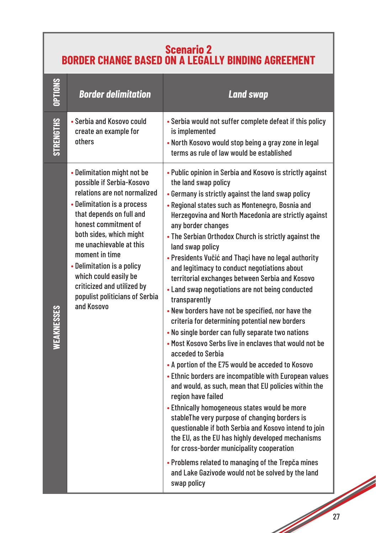#### **Scenario 2 BORDER CHANGE BASED ON A LEGALLY BINDING AGREEMENT**

| <b>TIONS</b>     | <b>Border delimitation</b>                                                                                                                                                                                                                                                                                                                                                               | <b>Land swap</b>                                                                                                                                                                                                                                                                                                                                                                                                                                                                                                                                                                                                                                                                                                                                                                                                                                                                                                                                                                                                                                                                                                                                                                                                                                                                                                                                                                                                      |
|------------------|------------------------------------------------------------------------------------------------------------------------------------------------------------------------------------------------------------------------------------------------------------------------------------------------------------------------------------------------------------------------------------------|-----------------------------------------------------------------------------------------------------------------------------------------------------------------------------------------------------------------------------------------------------------------------------------------------------------------------------------------------------------------------------------------------------------------------------------------------------------------------------------------------------------------------------------------------------------------------------------------------------------------------------------------------------------------------------------------------------------------------------------------------------------------------------------------------------------------------------------------------------------------------------------------------------------------------------------------------------------------------------------------------------------------------------------------------------------------------------------------------------------------------------------------------------------------------------------------------------------------------------------------------------------------------------------------------------------------------------------------------------------------------------------------------------------------------|
| <b>STRENGTHS</b> | • Serbia and Kosovo could<br>create an example for<br>others                                                                                                                                                                                                                                                                                                                             | • Serbia would not suffer complete defeat if this policy<br>is implemented<br>. North Kosovo would stop being a gray zone in legal<br>terms as rule of law would be established                                                                                                                                                                                                                                                                                                                                                                                                                                                                                                                                                                                                                                                                                                                                                                                                                                                                                                                                                                                                                                                                                                                                                                                                                                       |
| VEAKNESSES       | • Delimitation might not be<br>possible if Serbia-Kosovo<br>relations are not normalized<br>• Delimitation is a process<br>that depends on full and<br>honest commitment of<br>both sides, which might<br>me unachievable at this<br>moment in time<br>• Delimitation is a policy<br>which could easily be<br>criticized and utilized by<br>populist politicians of Serbia<br>and Kosovo | • Public opinion in Serbia and Kosovo is strictly against<br>the land swap policy<br>• Germany is strictly against the land swap policy<br>• Regional states such as Montenegro, Bosnia and<br>Herzegovina and North Macedonia are strictly against<br>any border changes<br>• The Serbian Orthodox Church is strictly against the<br>land swap policy<br>• Presidents Vučić and Thaçi have no legal authority<br>and legitimacy to conduct negotiations about<br>territorial exchanges between Serbia and Kosovo<br>• Land swap negotiations are not being conducted<br>transparently<br>. New borders have not be specified, nor have the<br>criteria for determining potential new borders<br>. No single border can fully separate two nations<br>. Most Kosovo Serbs live in enclaves that would not be<br>acceded to Serbia<br>• A portion of the E75 would be acceded to Kosovo<br>• Ethnic borders are incompatible with European values<br>and would, as such, mean that EU policies within the<br>region have failed<br>• Ethnically homogeneous states would be more<br>stableThe very purpose of changing borders is<br>questionable if both Serbia and Kosovo intend to join<br>the EU, as the EU has highly developed mechanisms<br>for cross-border municipality cooperation<br>• Problems related to managing of the Trepča mines<br>and Lake Gazivode would not be solved by the land<br>swap policy |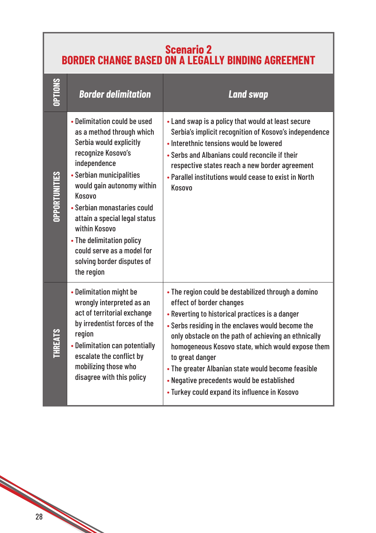#### **Scenario 2 BORDER CHANGE BASED ON A LEGALLY BINDING AGREEMENT**

|                | <b>Border delimitation</b>                                                                                                                                                                                                                                                                                                                                                             | <b>Land swap</b>                                                                                                                                                                                                                                                                                                                                                                                                                                                             |
|----------------|----------------------------------------------------------------------------------------------------------------------------------------------------------------------------------------------------------------------------------------------------------------------------------------------------------------------------------------------------------------------------------------|------------------------------------------------------------------------------------------------------------------------------------------------------------------------------------------------------------------------------------------------------------------------------------------------------------------------------------------------------------------------------------------------------------------------------------------------------------------------------|
| OPPORTUNITIES  | • Delimitation could be used<br>as a method through which<br>Serbia would explicitly<br>recognize Kosovo's<br>independence<br>• Serbian municipalities<br>would gain autonomy within<br>Kosovo<br>• Serbian monastaries could<br>attain a special legal status<br>within Kosovo<br>• The delimitation policy<br>could serve as a model for<br>solving border disputes of<br>the region | • Land swap is a policy that would at least secure<br>Serbia's implicit recognition of Kosovo's independence<br>• Interethnic tensions would be lowered<br>• Serbs and Albanians could reconcile if their<br>respective states reach a new border agreement<br>• Parallel institutions would cease to exist in North<br>Kosovo                                                                                                                                               |
| <b>THREATS</b> | • Delimitation might be<br>wrongly interpreted as an<br>act of territorial exchange<br>by irredentist forces of the<br>region<br>• Delimitation can potentially<br>escalate the conflict by<br>mobilizing those who<br>disagree with this policy                                                                                                                                       | • The region could be destabilized through a domino<br>effect of border changes<br>• Reverting to historical practices is a danger<br>• Serbs residing in the enclaves would become the<br>only obstacle on the path of achieving an ethnically<br>homogeneous Kosovo state, which would expose them<br>to great danger<br>• The greater Albanian state would become feasible<br>• Negative precedents would be established<br>• Turkey could expand its influence in Kosovo |

28

**Contract Contract Contract Contract Contract Contract Contract Contract Contract Contract Contract Contract C**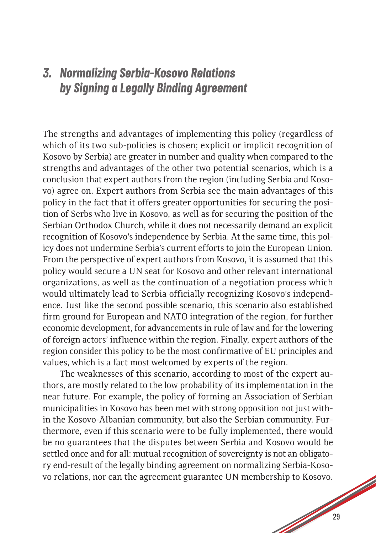#### *3. Normalizing Serbia-Kosovo Relations by Signing a Legally Binding Agreement*

The strengths and advantages of implementing this policy (regardless of which of its two sub-policies is chosen; explicit or implicit recognition of Kosovo by Serbia) are greater in number and quality when compared to the strengths and advantages of the other two potential scenarios, which is a conclusion that expert authors from the region (including Serbia and Kosovo) agree on. Expert authors from Serbia see the main advantages of this policy in the fact that it offers greater opportunities for securing the position of Serbs who live in Kosovo, as well as for securing the position of the Serbian Orthodox Church, while it does not necessarily demand an explicit recognition of Kosovo's independence by Serbia. At the same time, this policy does not undermine Serbia's current efforts to join the European Union. From the perspective of expert authors from Kosovo, it is assumed that this policy would secure a UN seat for Kosovo and other relevant international organizations, as well as the continuation of a negotiation process which would ultimately lead to Serbia officially recognizing Kosovo's independence. Just like the second possible scenario, this scenario also established firm ground for European and NATO integration of the region, for further economic development, for advancements in rule of law and for the lowering of foreign actors' influence within the region. Finally, expert authors of the region consider this policy to be the most confirmative of EU principles and values, which is a fact most welcomed by experts of the region.

The weaknesses of this scenario, according to most of the expert authors, are mostly related to the low probability of its implementation in the near future. For example, the policy of forming an Association of Serbian municipalities in Kosovo has been met with strong opposition not just within the Kosovo-Albanian community, but also the Serbian community. Furthermore, even if this scenario were to be fully implemented, there would be no guarantees that the disputes between Serbia and Kosovo would be settled once and for all: mutual recognition of sovereignty is not an obligatory end-result of the legally binding agreement on normalizing Serbia-Kosovo relations, nor can the agreement guarantee UN membership to Kosovo.

de de la construction de la construction de la construction de la construction de la construction de la construction de la construction de la construction de la construction de la construction de la construction de la cons

**South Contract Contract Contract Contract Contract Contract Contract Contract Contract Contract Contract Contract Contract Contract Contract Contract Contract Contract Contract Contract Contract Contract Contract Contract**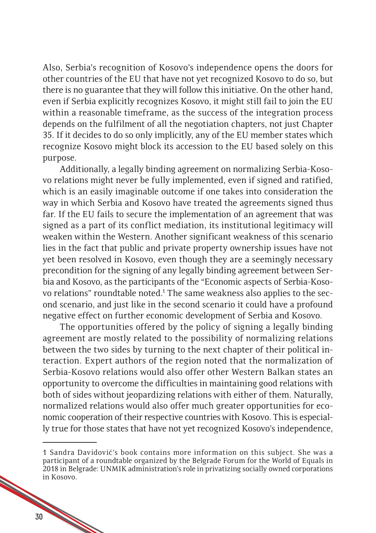Also, Serbia's recognition of Kosovo's independence opens the doors for other countries of the EU that have not yet recognized Kosovo to do so, but there is no guarantee that they will follow this initiative. On the other hand, even if Serbia explicitly recognizes Kosovo, it might still fail to join the EU within a reasonable timeframe, as the success of the integration process depends on the fulfilment of all the negotiation chapters, not just Chapter 35. If it decides to do so only implicitly, any of the EU member states which recognize Kosovo might block its accession to the EU based solely on this purpose.

Additionally, a legally binding agreement on normalizing Serbia-Kosovo relations might never be fully implemented, even if signed and ratified, which is an easily imaginable outcome if one takes into consideration the way in which Serbia and Kosovo have treated the agreements signed thus far. If the EU fails to secure the implementation of an agreement that was signed as a part of its conflict mediation, its institutional legitimacy will weaken within the Western. Another significant weakness of this scenario lies in the fact that public and private property ownership issues have not yet been resolved in Kosovo, even though they are a seemingly necessary precondition for the signing of any legally binding agreement between Serbia and Kosovo, as the participants of the "Economic aspects of Serbia-Kosovo relations" roundtable noted.<sup>1</sup> The same weakness also applies to the second scenario, and just like in the second scenario it could have a profound negative effect on further economic development of Serbia and Kosovo.

The opportunities offered by the policy of signing a legally binding agreement are mostly related to the possibility of normalizing relations between the two sides by turning to the next chapter of their political interaction. Expert authors of the region noted that the normalization of Serbia-Kosovo relations would also offer other Western Balkan states an opportunity to overcome the difficulties in maintaining good relations with both of sides without jeopardizing relations with either of them. Naturally, normalized relations would also offer much greater opportunities for economic cooperation of their respective countries with Kosovo. This is especially true for those states that have not yet recognized Kosovo's independence,

<sup>1</sup> Sandra Davidović's book contains more information on this subject. She was a participant of a roundtable organized by the Belgrade Forum for the World of Equals in 2018 in Belgrade: UNMIK administration's role in privatizing socially owned corporations in Kosovo.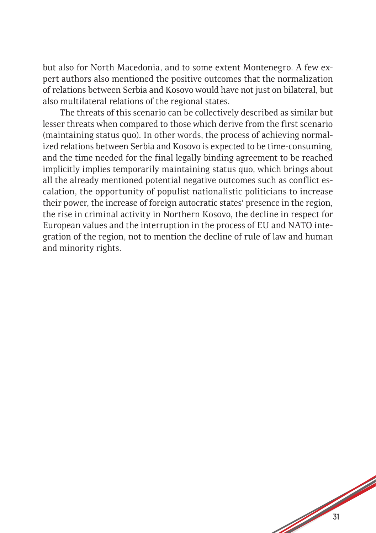but also for North Macedonia, and to some extent Montenegro. A few expert authors also mentioned the positive outcomes that the normalization of relations between Serbia and Kosovo would have not just on bilateral, but also multilateral relations of the regional states.

The threats of this scenario can be collectively described as similar but lesser threats when compared to those which derive from the first scenario (maintaining status quo). In other words, the process of achieving normalized relations between Serbia and Kosovo is expected to be time-consuming, and the time needed for the final legally binding agreement to be reached implicitly implies temporarily maintaining status quo, which brings about all the already mentioned potential negative outcomes such as conflict escalation, the opportunity of populist nationalistic politicians to increase their power, the increase of foreign autocratic states' presence in the region, the rise in criminal activity in Northern Kosovo, the decline in respect for European values and the interruption in the process of EU and NATO integration of the region, not to mention the decline of rule of law and human and minority rights.

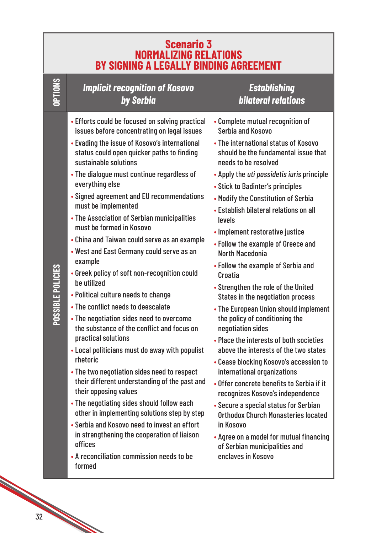| Scenario 3<br>NORMALIZING RELATIONS<br>BY SIGNING A LEGALLY BINDING AGREEMENT |                                                                                                                                                                                                                                                                                                                                                                                                                                                                                                                                                                                                                                                                                                                                                                                                                                                                                                                                                                                                                                                                                                                                                                                                                                                                   |                                                                                                                                                                                                                                                                                                                                                                                                                                                                                                                                                                                                                                                                                                                                                                                                                                                                                                                                                                                                                                                                                                                                |
|-------------------------------------------------------------------------------|-------------------------------------------------------------------------------------------------------------------------------------------------------------------------------------------------------------------------------------------------------------------------------------------------------------------------------------------------------------------------------------------------------------------------------------------------------------------------------------------------------------------------------------------------------------------------------------------------------------------------------------------------------------------------------------------------------------------------------------------------------------------------------------------------------------------------------------------------------------------------------------------------------------------------------------------------------------------------------------------------------------------------------------------------------------------------------------------------------------------------------------------------------------------------------------------------------------------------------------------------------------------|--------------------------------------------------------------------------------------------------------------------------------------------------------------------------------------------------------------------------------------------------------------------------------------------------------------------------------------------------------------------------------------------------------------------------------------------------------------------------------------------------------------------------------------------------------------------------------------------------------------------------------------------------------------------------------------------------------------------------------------------------------------------------------------------------------------------------------------------------------------------------------------------------------------------------------------------------------------------------------------------------------------------------------------------------------------------------------------------------------------------------------|
| OPTIONS                                                                       | <b>Implicit recognition of Kosovo</b><br>by Serbia                                                                                                                                                                                                                                                                                                                                                                                                                                                                                                                                                                                                                                                                                                                                                                                                                                                                                                                                                                                                                                                                                                                                                                                                                | <b>Establishing</b><br><b>bilateral relations</b>                                                                                                                                                                                                                                                                                                                                                                                                                                                                                                                                                                                                                                                                                                                                                                                                                                                                                                                                                                                                                                                                              |
| POSSIBLE POLICIES                                                             | • Efforts could be focused on solving practical<br>issues before concentrating on legal issues<br>• Evading the issue of Kosovo's international<br>status could open quicker paths to finding<br>sustainable solutions<br>• The dialogue must continue regardless of<br>everything else<br>• Signed agreement and EU recommendations<br>must be implemented<br>• The Association of Serbian municipalities<br>must be formed in Kosovo<br>• China and Taiwan could serve as an example<br>• West and East Germany could serve as an<br>example<br>• Greek policy of soft non-recognition could<br>be utilized<br>• Political culture needs to change<br>• The conflict needs to deescalate<br>• The negotiation sides need to overcome<br>the substance of the conflict and focus on<br>practical solutions<br>• Local politicians must do away with populist<br>rhetoric<br>• The two negotiation sides need to respect<br>their different understanding of the past and<br>their opposing values<br>• The negotiating sides should follow each<br>other in implementing solutions step by step<br>• Serbia and Kosovo need to invest an effort<br>in strengthening the cooperation of liaison<br>offices<br>• A reconciliation commission needs to be<br>formed | • Complete mutual recognition of<br>Serbia and Kosovo<br>• The international status of Kosovo<br>should be the fundamental issue that<br>needs to be resolved<br>• Apply the uti possidetis iuris principle<br>• Stick to Badinter's principles<br>. Modify the Constitution of Serbia<br>• Establish bilateral relations on all<br>levels<br>• Implement restorative justice<br>• Follow the example of Greece and<br><b>North Macedonia</b><br>• Follow the example of Serbia and<br>Croatia<br>• Strengthen the role of the United<br>States in the negotiation process<br>• The European Union should implement<br>the policy of conditioning the<br>negotiation sides<br>• Place the interests of both societies<br>above the interests of the two states<br>• Cease blocking Kosovo's accession to<br>international organizations<br>• Offer concrete benefits to Serbia if it<br>recognizes Kosovo's independence<br>• Secure a special status for Serbian<br><b>Orthodox Church Monasteries located</b><br>in Kosovo<br>• Agree on a model for mutual financing<br>of Serbian municipalities and<br>enclaves in Kosovo |

**Contract Contract Contract Contract Contract Contract Contract Contract Contract Contract Contract Contract Contract Contract Contract Contract Contract Contract Contract Contract Contract Contract Contract Contract Contr**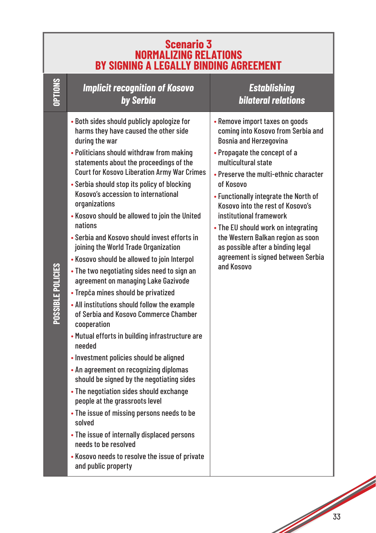|                   | <b>Scenario 3</b><br>NORMALIZING RELATIONS<br>BY SIGNING A LEGALLY BINDING AGREEMENT                                                                                                                                                                                                                                                                                                                                                                                                                                                                                                                                                                                                                                                                                                                                                                                                                                                                                                                                                                                                                                                                                                                                                                                                   |                                                                                                                                                                                                                                                                                                                                                                                                                                                                                                 |  |  |  |
|-------------------|----------------------------------------------------------------------------------------------------------------------------------------------------------------------------------------------------------------------------------------------------------------------------------------------------------------------------------------------------------------------------------------------------------------------------------------------------------------------------------------------------------------------------------------------------------------------------------------------------------------------------------------------------------------------------------------------------------------------------------------------------------------------------------------------------------------------------------------------------------------------------------------------------------------------------------------------------------------------------------------------------------------------------------------------------------------------------------------------------------------------------------------------------------------------------------------------------------------------------------------------------------------------------------------|-------------------------------------------------------------------------------------------------------------------------------------------------------------------------------------------------------------------------------------------------------------------------------------------------------------------------------------------------------------------------------------------------------------------------------------------------------------------------------------------------|--|--|--|
| OPTIONS           | <b>Implicit recognition of Kosovo</b><br>by Serbia                                                                                                                                                                                                                                                                                                                                                                                                                                                                                                                                                                                                                                                                                                                                                                                                                                                                                                                                                                                                                                                                                                                                                                                                                                     | <b>Establishing</b><br><b>bilateral relations</b>                                                                                                                                                                                                                                                                                                                                                                                                                                               |  |  |  |
| POSSIBLE POLICIES | • Both sides should publicly apologize for<br>harms they have caused the other side<br>during the war<br>• Politicians should withdraw from making<br>statements about the proceedings of the<br><b>Court for Kosovo Liberation Army War Crimes</b><br>• Serbia should stop its policy of blocking<br>Kosovo's accession to international<br>organizations<br>• Kosovo should be allowed to join the United<br>nations<br>• Serbia and Kosovo should invest efforts in<br>joining the World Trade Organization<br>• Kosovo should be allowed to join Interpol<br>• The two negotiating sides need to sign an<br>agreement on managing Lake Gazivode<br>• Trepča mines should be privatized<br>• All institutions should follow the example<br>of Serbia and Kosovo Commerce Chamber<br>cooperation<br>• Mutual efforts in building infrastructure are<br>needed<br>• Investment policies should be aligned<br>• An agreement on recognizing diplomas<br>should be signed by the negotiating sides<br>• The negotiation sides should exchange<br>people at the grassroots level<br>• The issue of missing persons needs to be<br>solved<br>• The issue of internally displaced persons<br>needs to be resolved<br>. Kosovo needs to resolve the issue of private<br>and public property | • Remove import taxes on goods<br>coming into Kosovo from Serbia and<br><b>Bosnia and Herzegovina</b><br>• Propagate the concept of a<br>multicultural state<br>• Preserve the multi-ethnic character<br>of Kosovo<br>• Functionally integrate the North of<br>Kosovo into the rest of Kosovo's<br>institutional framework<br>• The EU should work on integrating<br>the Western Balkan region as soon<br>as possible after a binding legal<br>agreement is signed between Serbia<br>and Kosovo |  |  |  |

**South Contract Contract Contract Contract Contract Contract Contract Contract Contract Contract Contract Contract Contract Contract Contract Contract Contract Contract Contract Contract Contract Contract Contract Contract**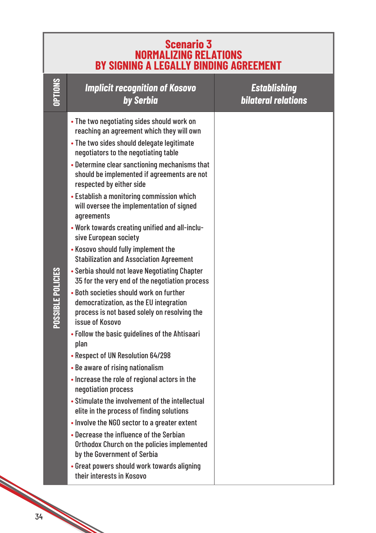| <b>Scenario 3<br/>NORMALIZING RELATIONS</b><br><b>BY SIGNING A LEGALLY BINDING AGREEMENT</b> |                                                                                                                                                                                                                                                                                                                                                                                                                                                                                                                                                                                                                                                                                                                                                                                                                                                                                                                                                                                                                                                                                                                                                                                                                                                                                                                                                                                                                  |                                                   |
|----------------------------------------------------------------------------------------------|------------------------------------------------------------------------------------------------------------------------------------------------------------------------------------------------------------------------------------------------------------------------------------------------------------------------------------------------------------------------------------------------------------------------------------------------------------------------------------------------------------------------------------------------------------------------------------------------------------------------------------------------------------------------------------------------------------------------------------------------------------------------------------------------------------------------------------------------------------------------------------------------------------------------------------------------------------------------------------------------------------------------------------------------------------------------------------------------------------------------------------------------------------------------------------------------------------------------------------------------------------------------------------------------------------------------------------------------------------------------------------------------------------------|---------------------------------------------------|
| OPTIONS                                                                                      | <b>Implicit recognition of Kosovo</b><br>by Serbia                                                                                                                                                                                                                                                                                                                                                                                                                                                                                                                                                                                                                                                                                                                                                                                                                                                                                                                                                                                                                                                                                                                                                                                                                                                                                                                                                               | <b>Establishing</b><br><b>bilateral relations</b> |
| POSSIBLE POLICIES                                                                            | . The two negotiating sides should work on<br>reaching an agreement which they will own<br>• The two sides should delegate legitimate<br>negotiators to the negotiating table<br>• Determine clear sanctioning mechanisms that<br>should be implemented if agreements are not<br>respected by either side<br>• Establish a monitoring commission which<br>will oversee the implementation of signed<br>agreements<br>. Work towards creating unified and all-inclu-<br>sive European society<br>. Kosovo should fully implement the<br><b>Stabilization and Association Agreement</b><br>• Serbia should not leave Negotiating Chapter<br>35 for the very end of the negotiation process<br>. Both societies should work on further<br>democratization, as the EU integration<br>process is not based solely on resolving the<br>issue of Kosovo<br>• Follow the basic guidelines of the Ahtisaari<br>plan<br>• Respect of UN Resolution 64/298<br>• Be aware of rising nationalism<br>• Increase the role of regional actors in the<br>negotiation process<br>• Stimulate the involvement of the intellectual<br>elite in the process of finding solutions<br>• Involve the NGO sector to a greater extent<br>• Decrease the influence of the Serbian<br>Orthodox Church on the policies implemented<br>by the Government of Serbia<br>• Great powers should work towards aligning<br>their interests in Kosovo |                                                   |

e de la comparació de la comparació de la comparació de la comparació de la comparació de la comparació de la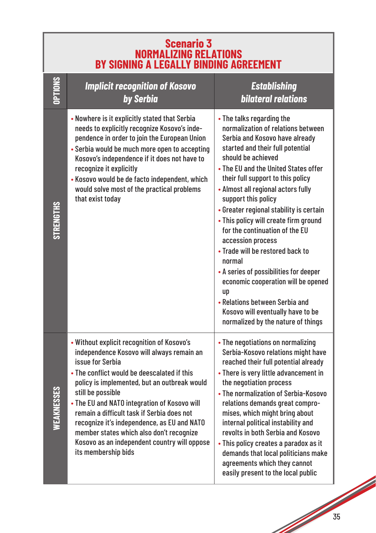| <b>Scenario 3</b><br><b>NORMALIZING RELATIONS</b><br><b>BY SIGNING A LEGALLY BINDING AGREEMENT</b> |                                                                                                                                                                                                                                                                                                                                                                                                                                                                                                 |                                                                                                                                                                                                                                                                                                                                                                                                                                                                                                                                                                                                                                                                                                    |  |  |
|----------------------------------------------------------------------------------------------------|-------------------------------------------------------------------------------------------------------------------------------------------------------------------------------------------------------------------------------------------------------------------------------------------------------------------------------------------------------------------------------------------------------------------------------------------------------------------------------------------------|----------------------------------------------------------------------------------------------------------------------------------------------------------------------------------------------------------------------------------------------------------------------------------------------------------------------------------------------------------------------------------------------------------------------------------------------------------------------------------------------------------------------------------------------------------------------------------------------------------------------------------------------------------------------------------------------------|--|--|
| <b>OPTIONS</b>                                                                                     | <b>Implicit recognition of Kosovo</b><br>by Serbia                                                                                                                                                                                                                                                                                                                                                                                                                                              | <b>Establishing</b><br><b>bilateral relations</b>                                                                                                                                                                                                                                                                                                                                                                                                                                                                                                                                                                                                                                                  |  |  |
| <b>STRENGTHS</b>                                                                                   | • Nowhere is it explicitly stated that Serbia<br>needs to explicitly recognize Kosovo's inde-<br>pendence in order to join the European Union<br>• Serbia would be much more open to accepting<br>Kosovo's independence if it does not have to<br>recognize it explicitly<br>• Kosovo would be de facto independent, which<br>would solve most of the practical problems<br>that exist today                                                                                                    | • The talks regarding the<br>normalization of relations between<br>Serbia and Kosovo have already<br>started and their full potential<br>should be achieved<br>• The EU and the United States offer<br>their full support to this policy<br>• Almost all regional actors fully<br>support this policy<br>• Greater regional stability is certain<br>• This policy will create firm ground<br>for the continuation of the EU<br>accession process<br>• Trade will be restored back to<br>normal<br>• A series of possibilities for deeper<br>economic cooperation will be opened<br>up<br>• Relations between Serbia and<br>Kosovo will eventually have to be<br>normalized by the nature of things |  |  |
| WEAKNESSES                                                                                         | . Without explicit recognition of Kosovo's<br>independence Kosovo will always remain an<br>issue for Serbia<br>• The conflict would be deescalated if this<br>policy is implemented, but an outbreak would<br>still be possible<br>. The EU and NATO integration of Kosovo will<br>remain a difficult task if Serbia does not<br>recognize it's independence, as EU and NATO<br>member states which also don't recognize<br>Kosovo as an independent country will oppose<br>its membership bids | • The negotiations on normalizing<br>Serbia-Kosovo relations might have<br>reached their full potential already<br>• There is very little advancement in<br>the negotiation process<br>• The normalization of Serbia-Kosovo<br>relations demands great compro-<br>mises, which might bring about<br>internal political instability and<br>revolts in both Serbia and Kosovo<br>• This policy creates a paradox as it<br>demands that local politicians make<br>agreements which they cannot<br>easily present to the local public                                                                                                                                                                  |  |  |

**South Contract Contract Contract Contract Contract Contract Contract Contract Contract Contract Contract Contract Contract Contract Contract Contract Contract Contract Contract Contract Contract Contract Contract Contract**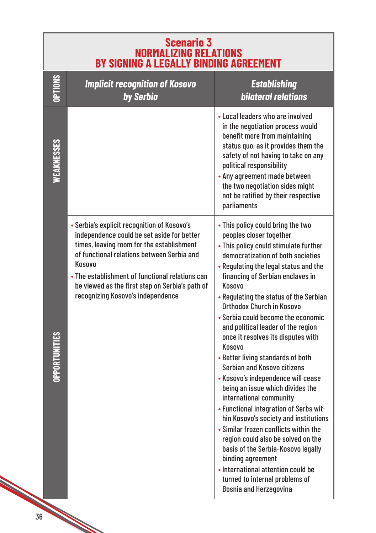| <b>Scenario 3</b><br>NORMALIZING RELATIONS<br>BY SIGNING A LEGALLY BINDING AGREEMENT |                                                                                                                                                                                                                                                                                                                                           |                                                                                                                                                                                                                                                                                                                                                                                                                                                                                                                                                                                                                                                                                                                                                                                                                                                                                                                                                            |  |
|--------------------------------------------------------------------------------------|-------------------------------------------------------------------------------------------------------------------------------------------------------------------------------------------------------------------------------------------------------------------------------------------------------------------------------------------|------------------------------------------------------------------------------------------------------------------------------------------------------------------------------------------------------------------------------------------------------------------------------------------------------------------------------------------------------------------------------------------------------------------------------------------------------------------------------------------------------------------------------------------------------------------------------------------------------------------------------------------------------------------------------------------------------------------------------------------------------------------------------------------------------------------------------------------------------------------------------------------------------------------------------------------------------------|--|
| <b>OPTIONS</b>                                                                       | <b>Implicit recognition of Kosovo</b><br>by Serbia                                                                                                                                                                                                                                                                                        | <b>Establishing</b><br><b>bilateral relations</b>                                                                                                                                                                                                                                                                                                                                                                                                                                                                                                                                                                                                                                                                                                                                                                                                                                                                                                          |  |
| WEAKNESSES                                                                           |                                                                                                                                                                                                                                                                                                                                           | • Local leaders who are involved<br>in the negotiation process would<br>benefit more from maintaining<br>status quo, as it provides them the<br>safety of not having to take on any<br>political responsibility<br>• Any agreement made between<br>the two negotiation sides might<br>not be ratified by their respective<br>parliaments                                                                                                                                                                                                                                                                                                                                                                                                                                                                                                                                                                                                                   |  |
| <b>OPPORTUNITIE</b>                                                                  | • Serbia's explicit recognition of Kosovo's<br>independence could be set aside for better<br>times, leaving room for the establishment<br>of functional relations between Serbia and<br>Kosovo<br>• The establishment of functional relations can<br>be viewed as the first step on Serbia's path of<br>recognizing Kosovo's independence | . This policy could bring the two<br>peoples closer together<br>• This policy could stimulate further<br>democratization of both societies<br>• Regulating the legal status and the<br>financing of Serbian enclaves in<br>Kosovo<br>• Regulating the status of the Serbian<br>Orthodox Church in Kosovo<br>• Serbia could become the economic<br>and political leader of the region<br>once it resolves its disputes with<br>Kosovo<br>• Better living standards of both<br><b>Serbian and Kosovo citizens</b><br>• Kosovo's independence will cease<br>being an issue which divides the<br>international community<br>• Functional integration of Serbs wit-<br>hin Kosovo's society and institutions<br>• Similar frozen conflicts within the<br>region could also be solved on the<br>basis of the Serbia-Kosovo legally<br>binding agreement<br>• International attention could be<br>turned to internal problems of<br><b>Bosnia and Herzegovina</b> |  |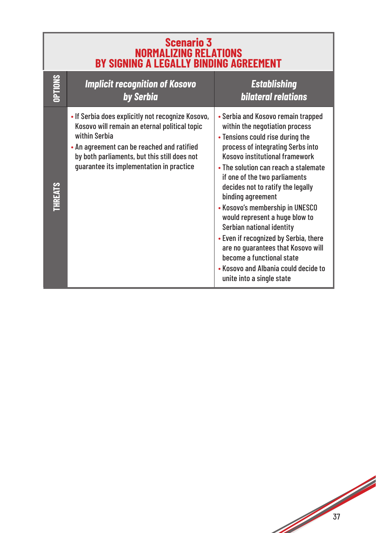| <b>Scenario 3</b><br><b>NORMALIZING RELATIONS</b><br><b>BY SIGNING A LEGALLY BINDING AGREEMENT</b> |                                                                                                                                                                                                                                                               |                                                                                                                                                                                                                                                                                                                                                                                                                                                                                                                                                                                                       |
|----------------------------------------------------------------------------------------------------|---------------------------------------------------------------------------------------------------------------------------------------------------------------------------------------------------------------------------------------------------------------|-------------------------------------------------------------------------------------------------------------------------------------------------------------------------------------------------------------------------------------------------------------------------------------------------------------------------------------------------------------------------------------------------------------------------------------------------------------------------------------------------------------------------------------------------------------------------------------------------------|
| OPTIONS                                                                                            | <b>Implicit recognition of Kosovo</b><br>by Serbia                                                                                                                                                                                                            | <b>Establishing</b><br><b>bilateral relations</b>                                                                                                                                                                                                                                                                                                                                                                                                                                                                                                                                                     |
| <b>THREATS</b>                                                                                     | . If Serbia does explicitly not recognize Kosovo,<br>Kosovo will remain an eternal political topic<br>within Serbia<br>• An agreement can be reached and ratified<br>by both parliaments, but this still does not<br>guarantee its implementation in practice | • Serbia and Kosovo remain trapped<br>within the negotiation process<br>• Tensions could rise during the<br>process of integrating Serbs into<br>Kosovo institutional framework<br>• The solution can reach a stalemate<br>if one of the two parliaments<br>decides not to ratify the legally<br>binding agreement<br>• Kosovo's membership in UNESCO<br>would represent a huge blow to<br>Serbian national identity<br>• Even if recognized by Serbia, there<br>are no guarantees that Kosovo will<br>become a functional state<br>• Kosovo and Albania could decide to<br>unite into a single state |

17 July 1908

٦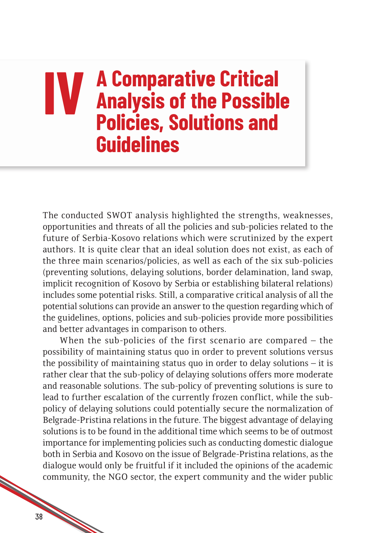## **IV A Comparative Critical<br>
<b>IV** Analysis of the Possible<br> **Policies Solutions and Analysis of the Possible Policies, Solutions and Guidelines**

The conducted SWOT analysis highlighted the strengths, weaknesses, opportunities and threats of all the policies and sub-policies related to the future of Serbia-Kosovo relations which were scrutinized by the expert authors. It is quite clear that an ideal solution does not exist, as each of the three main scenarios/policies, as well as each of the six sub-policies (preventing solutions, delaying solutions, border delamination, land swap, implicit recognition of Kosovo by Serbia or establishing bilateral relations) includes some potential risks. Still, a comparative critical analysis of all the potential solutions can provide an answer to the question regarding which of the guidelines, options, policies and sub-policies provide more possibilities and better advantages in comparison to others.

When the sub-policies of the first scenario are compared – the possibility of maintaining status quo in order to prevent solutions versus the possibility of maintaining status quo in order to delay solutions – it is rather clear that the sub-policy of delaying solutions offers more moderate and reasonable solutions. The sub-policy of preventing solutions is sure to lead to further escalation of the currently frozen conflict, while the subpolicy of delaying solutions could potentially secure the normalization of Belgrade-Pristina relations in the future. The biggest advantage of delaying solutions is to be found in the additional time which seems to be of outmost importance for implementing policies such as conducting domestic dialogue both in Serbia and Kosovo on the issue of Belgrade-Pristina relations, as the dialogue would only be fruitful if it included the opinions of the academic community, the NGO sector, the expert community and the wider public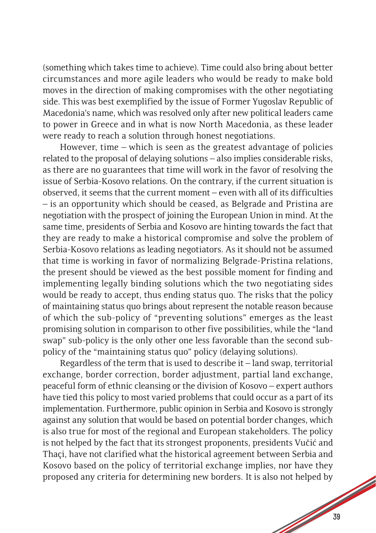(something which takes time to achieve). Time could also bring about better circumstances and more agile leaders who would be ready to make bold moves in the direction of making compromises with the other negotiating side. This was best exemplified by the issue of Former Yugoslav Republic of Macedonia's name, which was resolved only after new political leaders came to power in Greece and in what is now North Macedonia, as these leader were ready to reach a solution through honest negotiations.

However, time – which is seen as the greatest advantage of policies related to the proposal of delaying solutions – also implies considerable risks, as there are no guarantees that time will work in the favor of resolving the issue of Serbia-Kosovo relations. On the contrary, if the current situation is observed, it seems that the current moment – even with all of its difficulties – is an opportunity which should be ceased, as Belgrade and Pristina are negotiation with the prospect of joining the European Union in mind. At the same time, presidents of Serbia and Kosovo are hinting towards the fact that they are ready to make a historical compromise and solve the problem of Serbia-Kosovo relations as leading negotiators. As it should not be assumed that time is working in favor of normalizing Belgrade-Pristina relations, the present should be viewed as the best possible moment for finding and implementing legally binding solutions which the two negotiating sides would be ready to accept, thus ending status quo. The risks that the policy of maintaining status quo brings about represent the notable reason because of which the sub-policy of "preventing solutions" emerges as the least promising solution in comparison to other five possibilities, while the "land swap" sub-policy is the only other one less favorable than the second subpolicy of the "maintaining status quo" policy (delaying solutions).

Regardless of the term that is used to describe it – land swap, territorial exchange, border correction, border adjustment, partial land exchange, peaceful form of ethnic cleansing or the division of Kosovo – expert authors have tied this policy to most varied problems that could occur as a part of its implementation. Furthermore, public opinion in Serbia and Kosovo is strongly against any solution that would be based on potential border changes, which is also true for most of the regional and European stakeholders. The policy is not helped by the fact that its strongest proponents, presidents Vučić and Thaçi, have not clarified what the historical agreement between Serbia and Kosovo based on the policy of territorial exchange implies, nor have they proposed any criteria for determining new borders. It is also not helped by

de de la construction de la construction de la construction de la construction de la construction de la construction de la construction de la construction de la construction de la construction de la construction de la cons

**South Company of the Company of the Company of the Company of the Company of the Company of the Company of the Company of the Company of The Company of The Company of The Company of The Company of The Company of The Compa**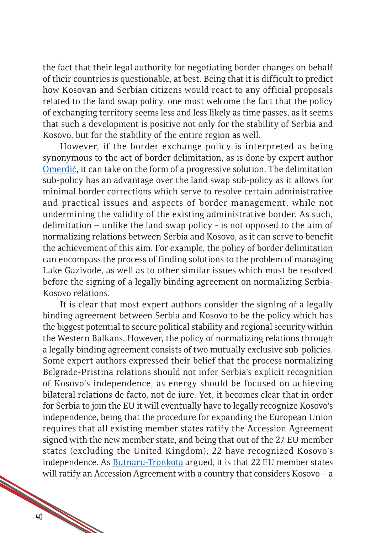the fact that their legal authority for negotiating border changes on behalf of their countries is questionable, at best. Being that it is difficult to predict how Kosovan and Serbian citizens would react to any official proposals related to the land swap policy, one must welcome the fact that the policy of exchanging territory seems less and less likely as time passes, as it seems that such a development is positive not only for the stability of Serbia and Kosovo, but for the stability of the entire region as well.

However, if the border exchange policy is interpreted as being synonymous to the act of border delimitation, as is done by expert author Omerdić, it can take on the form of a progressive solution. The delimitation sub-policy has an advantage over the land swap sub-policy as it allows for minimal border corrections which serve to resolve certain administrative and practical issues and aspects of border management, while not undermining the validity of the existing administrative border. As such, delimitation – unlike the land swap policy - is not opposed to the aim of normalizing relations between Serbia and Kosovo, as it can serve to benefit the achievement of this aim. For example, the policy of border delimitation can encompass the process of finding solutions to the problem of managing Lake Gazivode, as well as to other similar issues which must be resolved before the signing of a legally binding agreement on normalizing Serbia-Kosovo relations.

It is clear that most expert authors consider the signing of a legally binding agreement between Serbia and Kosovo to be the policy which has the biggest potential to secure political stability and regional security within the Western Balkans. However, the policy of normalizing relations through a legally binding agreement consists of two mutually exclusive sub-policies. Some expert authors expressed their belief that the process normalizing Belgrade-Pristina relations should not infer Serbia's explicit recognition of Kosovo's independence, as energy should be focused on achieving bilateral relations de facto, not de iure. Yet, it becomes clear that in order for Serbia to join the EU it will eventually have to legally recognize Kosovo's independence, being that the procedure for expanding the European Union requires that all existing member states ratify the Accession Agreement signed with the new member state, and being that out of the 27 EU member states (excluding the United Kingdom), 22 have recognized Kosovo's independence. As [Butnaru-Tronkota](http://media.cpes.org.rs/2019/09/Miruna-Butnaru-Troncot%C4%83.pdf) argued, it is that 22 EU member states will ratify an Accession Agreement with a country that considers Kosovo – a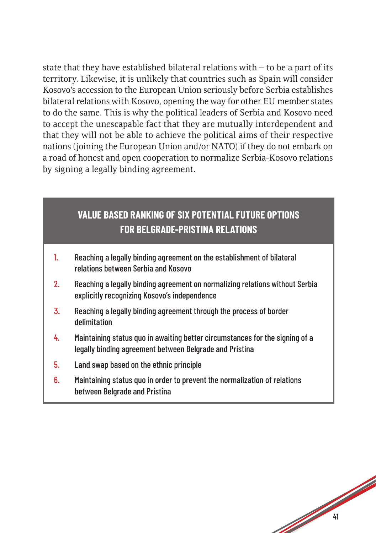state that they have established bilateral relations with  $-$  to be a part of its territory. Likewise, it is unlikely that countries such as Spain will consider Kosovo's accession to the European Union seriously before Serbia establishes bilateral relations with Kosovo, opening the way for other EU member states to do the same. This is why the political leaders of Serbia and Kosovo need to accept the unescapable fact that they are mutually interdependent and that they will not be able to achieve the political aims of their respective nations (joining the European Union and/or NATO) if they do not embark on a road of honest and open cooperation to normalize Serbia-Kosovo relations by signing a legally binding agreement.

#### **VALUE BASED RANKING OF SIX POTENTIAL FUTURE OPTIONS FOR BELGRADE-PRISTINA RELATIONS**

- 1. Reaching a legally binding agreement on the establishment of bilateral relations between Serbia and Kosovo
- 2. Reaching a legally binding agreement on normalizing relations without Serbia explicitly recognizing Kosovo's independence
- 3. Reaching a legally binding agreement through the process of border delimitation
- 4. Maintaining status quo in awaiting better circumstances for the signing of a legally binding agreement between Belgrade and Pristina
- 5. Land swap based on the ethnic principle
- 6. Maintaining status quo in order to prevent the normalization of relations between Belgrade and Pristina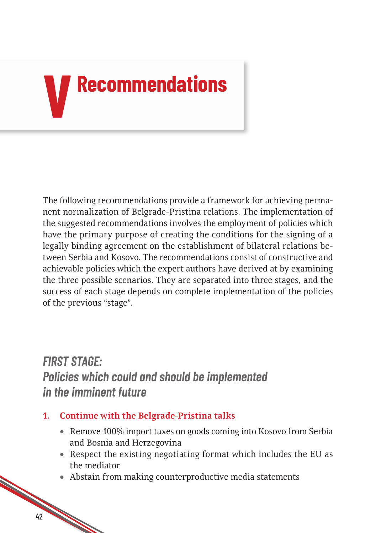# **VRecommendations**

The following recommendations provide a framework for achieving permanent normalization of Belgrade-Pristina relations. The implementation of the suggested recommendations involves the employment of policies which have the primary purpose of creating the conditions for the signing of a legally binding agreement on the establishment of bilateral relations between Serbia and Kosovo. The recommendations consist of constructive and achievable policies which the expert authors have derived at by examining the three possible scenarios. They are separated into three stages, and the success of each stage depends on complete implementation of the policies of the previous "stage".

#### *FIRST STAGE: Policies which could and should be implemented in the imminent future*

- **1. Continue with the Belgrade-Pristina talks**
	- Remove 100% import taxes on goods coming into Kosovo from Serbia and Bosnia and Herzegovina
	- Respect the existing negotiating format which includes the EU as the mediator
	- Abstain from making counterproductive media statements

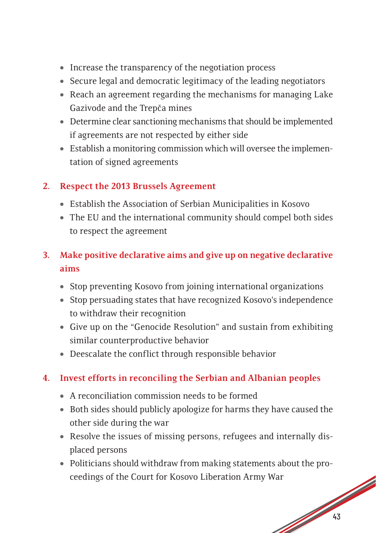- Increase the transparency of the negotiation process
- Secure legal and democratic legitimacy of the leading negotiators
- Reach an agreement regarding the mechanisms for managing Lake Gazivode and the Trepča mines
- Determine clear sanctioning mechanisms that should be implemented if agreements are not respected by either side
- Establish a monitoring commission which will oversee the implementation of signed agreements

#### **2. Respect the 2013 Brussels Agreement**

- • Establish the Association of Serbian Municipalities in Kosovo
- The EU and the international community should compel both sides to respect the agreement

#### **3. Make positive declarative aims and give up on negative declarative aims**

- Stop preventing Kosovo from joining international organizations
- Stop persuading states that have recognized Kosovo's independence to withdraw their recognition
- Give up on the "Genocide Resolution" and sustain from exhibiting similar counterproductive behavior
- Deescalate the conflict through responsible behavior

#### **4. Invest efforts in reconciling the Serbian and Albanian peoples**

- A reconciliation commission needs to be formed
- Both sides should publicly apologize for harms they have caused the other side during the war
- Resolve the issues of missing persons, refugees and internally displaced persons
- 13 • Politicians should withdraw from making statements about the proceedings of the Court for Kosovo Liberation Army War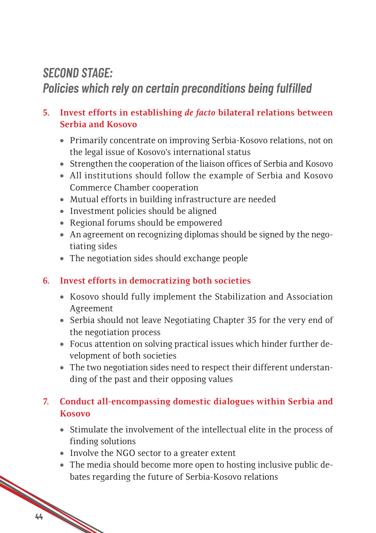#### *SECOND STAGE:*

#### *Policies which rely on certain preconditions being fulfilled*

#### **5. Invest efforts in establishing** *de facto* **bilateral relations between Serbia and Kosovo**

- Primarily concentrate on improving Serbia-Kosovo relations, not on the legal issue of Kosovo's international status
- Strengthen the cooperation of the liaison offices of Serbia and Kosovo
- • All institutions should follow the example of Serbia and Kosovo Commerce Chamber cooperation
- Mutual efforts in building infrastructure are needed
- Investment policies should be aligned
- Regional forums should be empowered
- An agreement on recognizing diplomas should be signed by the negotiating sides
- The negotiation sides should exchange people

#### **6. Invest efforts in democratizing both societies**

- Kosovo should fully implement the Stabilization and Association Agreement
- Serbia should not leave Negotiating Chapter 35 for the very end of the negotiation process
- Focus attention on solving practical issues which hinder further development of both societies
- The two negotiation sides need to respect their different understanding of the past and their opposing values

#### **7. Conduct all-encompassing domestic dialogues within Serbia and Kosovo**

- • Stimulate the involvement of the intellectual elite in the process of finding solutions
- Involve the NGO sector to a greater extent
- 14 April 1920 The media should become more open to hosting inclusive public debates regarding the future of Serbia-Kosovo relations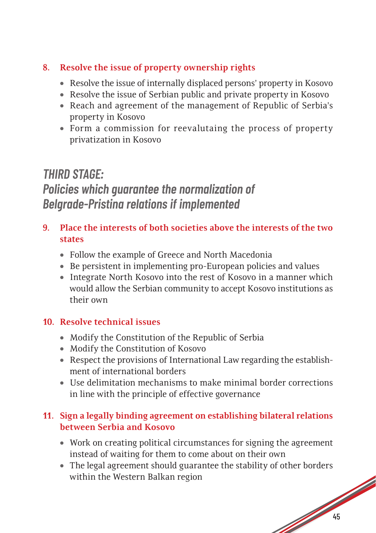#### **8. Resolve the issue of property ownership rights**

- Resolve the issue of internally displaced persons' property in Kosovo
- Resolve the issue of Serbian public and private property in Kosovo
- Reach and agreement of the management of Republic of Serbia's property in Kosovo
- Form a commission for reevalutaing the process of property privatization in Kosovo

#### *THIRD STAGE: Policies which guarantee the normalization of Belgrade-Pristina relations if implemented*

- **9. Place the interests of both societies above the interests of the two states**
	- Follow the example of Greece and North Macedonia
	- Be persistent in implementing pro-European policies and values
	- Integrate North Kosovo into the rest of Kosovo in a manner which would allow the Serbian community to accept Kosovo institutions as their own

#### **10. Resolve technical issues**

- Modify the Constitution of the Republic of Serbia
- Modify the Constitution of Kosovo
- Respect the provisions of International Law regarding the establishment of international borders
- Use delimitation mechanisms to make minimal border corrections in line with the principle of effective governance

#### **11. Sign a legally binding agreement on establishing bilateral relations between Serbia and Kosovo**

- Work on creating political circumstances for signing the agreement instead of waiting for them to come about on their own
- 15 • The legal agreement should guarantee the stability of other borders within the Western Balkan region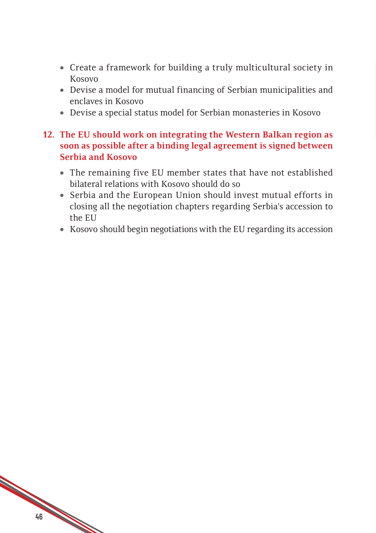- Create a framework for building a truly multicultural society in Kosovo
- Devise a model for mutual financing of Serbian municipalities and enclaves in Kosovo
- Devise a special status model for Serbian monasteries in Kosovo

#### **12. The EU should work on integrating the Western Balkan region as soon as possible after a binding legal agreement is signed between Serbia and Kosovo**

- The remaining five EU member states that have not established bilateral relations with Kosovo should do so
- Serbia and the European Union should invest mutual efforts in closing all the negotiation chapters regarding Serbia's accession to the EU
- Kosovo should begin negotiations with the EU regarding its accession

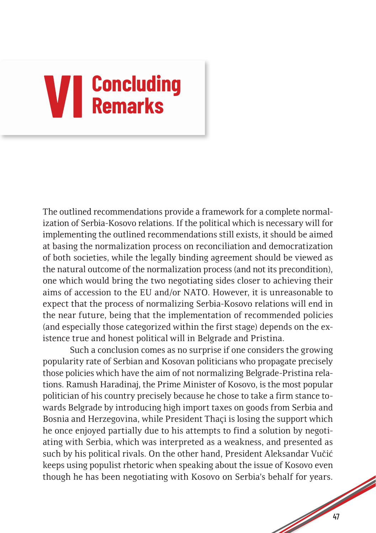# **VI Concluding Remarks**

The outlined recommendations provide a framework for a complete normalization of Serbia-Kosovo relations. If the political which is necessary will for implementing the outlined recommendations still exists, it should be aimed at basing the normalization process on reconciliation and democratization of both societies, while the legally binding agreement should be viewed as the natural outcome of the normalization process (and not its precondition), one which would bring the two negotiating sides closer to achieving their aims of accession to the EU and/or NATO. However, it is unreasonable to expect that the process of normalizing Serbia-Kosovo relations will end in the near future, being that the implementation of recommended policies (and especially those categorized within the first stage) depends on the existence true and honest political will in Belgrade and Pristina.

Such a conclusion comes as no surprise if one considers the growing popularity rate of Serbian and Kosovan politicians who propagate precisely those policies which have the aim of not normalizing Belgrade-Pristina relations. Ramush Haradinaj, the Prime Minister of Kosovo, is the most popular politician of his country precisely because he chose to take a firm stance towards Belgrade by introducing high import taxes on goods from Serbia and Bosnia and Herzegovina, while President Thaçi is losing the support which he once enjoyed partially due to his attempts to find a solution by negotiating with Serbia, which was interpreted as a weakness, and presented as such by his political rivals. On the other hand, President Aleksandar Vučić keeps using populist rhetoric when speaking about the issue of Kosovo even though he has been negotiating with Kosovo on Serbia's behalf for years.

47

de de la Cardina de la Cardina de la Cardina de la Cardina de la Cardina de la Cardina de la Cardina de la Cardina de la Cardina de la Cardina de la Cardina de la Cardina de la Cardina de la Cardina de la Cardina de la Car